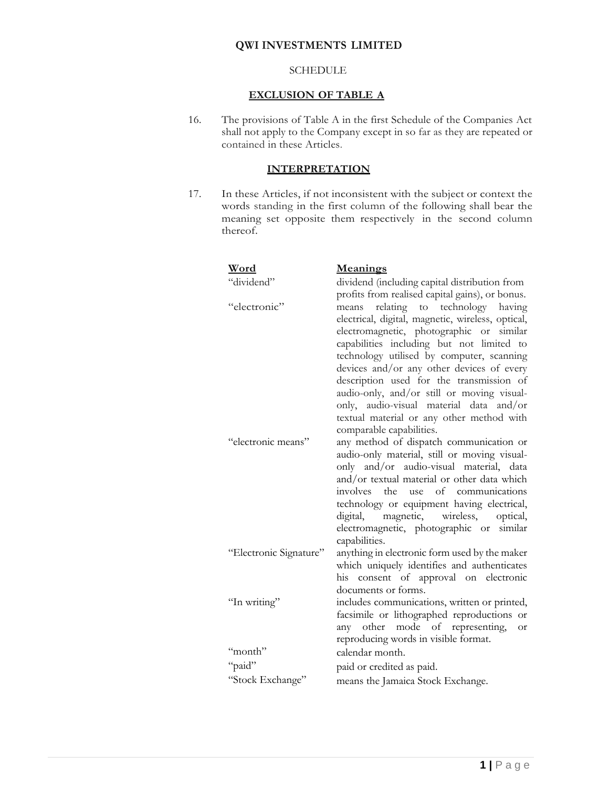# **QWI INVESTMENTS LIMITED**

#### SCHEDULE

### **EXCLUSION OF TABLE A**

16. The provisions of Table A in the first Schedule of the Companies Act shall not apply to the Company except in so far as they are repeated or contained in these Articles.

### **INTERPRETATION**

17. In these Articles, if not inconsistent with the subject or context the words standing in the first column of the following shall bear the meaning set opposite them respectively in the second column thereof.

| Word                   | Meanings                                                                                     |
|------------------------|----------------------------------------------------------------------------------------------|
| "dividend"             | dividend (including capital distribution from                                                |
| "electronic"           | profits from realised capital gains), or bonus.<br>relating to technology having<br>means    |
|                        | electrical, digital, magnetic, wireless, optical,                                            |
|                        | electromagnetic, photographic or similar                                                     |
|                        | capabilities including but not limited to<br>technology utilised by computer, scanning       |
|                        | devices and/or any other devices of every                                                    |
|                        | description used for the transmission of                                                     |
|                        | audio-only, and/or still or moving visual-                                                   |
|                        | only, audio-visual material data and/or<br>textual material or any other method with         |
|                        | comparable capabilities.                                                                     |
| "electronic means"     | any method of dispatch communication or                                                      |
|                        | audio-only material, still or moving visual-                                                 |
|                        | only and/or audio-visual material, data<br>and/or textual material or other data which       |
|                        | the<br>of<br>involves<br>use<br>communications                                               |
|                        | technology or equipment having electrical,                                                   |
|                        | magnetic, wireless, optical,<br>digital,                                                     |
|                        | electromagnetic, photographic or similar                                                     |
|                        | capabilities.                                                                                |
| "Electronic Signature" | anything in electronic form used by the maker<br>which uniquely identifies and authenticates |
|                        | his consent of approval on electronic                                                        |
|                        | documents or forms.                                                                          |
| "In writing"           | includes communications, written or printed,                                                 |
|                        | facsimile or lithographed reproductions or                                                   |
|                        | other mode of representing,<br>any<br><b>or</b>                                              |
| "month"                | reproducing words in visible format.<br>calendar month.                                      |
| "paid"                 | paid or credited as paid.                                                                    |
| "Stock Exchange"       | means the Jamaica Stock Exchange.                                                            |
|                        |                                                                                              |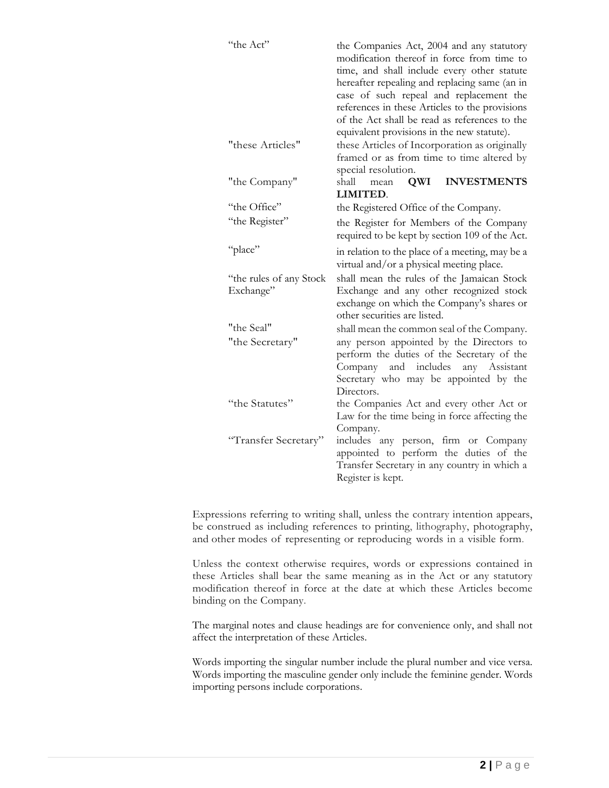| "the Act"               | the Companies Act, 2004 and any statutory<br>modification thereof in force from time to<br>time, and shall include every other statute<br>hereafter repealing and replacing same (an in<br>case of such repeal and replacement the<br>references in these Articles to the provisions<br>of the Act shall be read as references to the<br>equivalent provisions in the new statute). |
|-------------------------|-------------------------------------------------------------------------------------------------------------------------------------------------------------------------------------------------------------------------------------------------------------------------------------------------------------------------------------------------------------------------------------|
| "these Articles"        | these Articles of Incorporation as originally<br>framed or as from time to time altered by<br>special resolution.                                                                                                                                                                                                                                                                   |
| "the Company"           | shall<br><b>INVESTMENTS</b><br><b>QWI</b><br>mean                                                                                                                                                                                                                                                                                                                                   |
|                         | LIMITED.                                                                                                                                                                                                                                                                                                                                                                            |
| "the Office"            | the Registered Office of the Company.                                                                                                                                                                                                                                                                                                                                               |
| "the Register"          | the Register for Members of the Company<br>required to be kept by section 109 of the Act.                                                                                                                                                                                                                                                                                           |
| "place"                 | in relation to the place of a meeting, may be a<br>virtual and/or a physical meeting place.                                                                                                                                                                                                                                                                                         |
| "the rules of any Stock | shall mean the rules of the Jamaican Stock                                                                                                                                                                                                                                                                                                                                          |
| Exchange"               | Exchange and any other recognized stock<br>exchange on which the Company's shares or<br>other securities are listed.                                                                                                                                                                                                                                                                |
| "the Seal"              | shall mean the common seal of the Company.                                                                                                                                                                                                                                                                                                                                          |
| "the Secretary"         | any person appointed by the Directors to<br>perform the duties of the Secretary of the<br>Company and includes<br>any Assistant<br>Secretary who may be appointed by the<br>Directors.                                                                                                                                                                                              |
| "the Statutes"          | the Companies Act and every other Act or<br>Law for the time being in force affecting the<br>Company.                                                                                                                                                                                                                                                                               |
| "Transfer Secretary"    | includes any person, firm or Company<br>appointed to perform the duties of the<br>Transfer Secretary in any country in which a<br>Register is kept.                                                                                                                                                                                                                                 |

Expressions referring to writing shall, unless the contrary intention appears, be construed as including references to printing, lithography, photography, and other modes of representing or reproducing words in a visible form.

Unless the context otherwise requires, words or expressions contained in these Articles shall bear the same meaning as in the Act or any statutory modification thereof in force at the date at which these Articles become binding on the Company.

The marginal notes and clause headings are for convenience only, and shall not affect the interpretation of these Articles.

Words importing the singular number include the plural number and vice versa. Words importing the masculine gender only include the feminine gender. Words importing persons include corporations.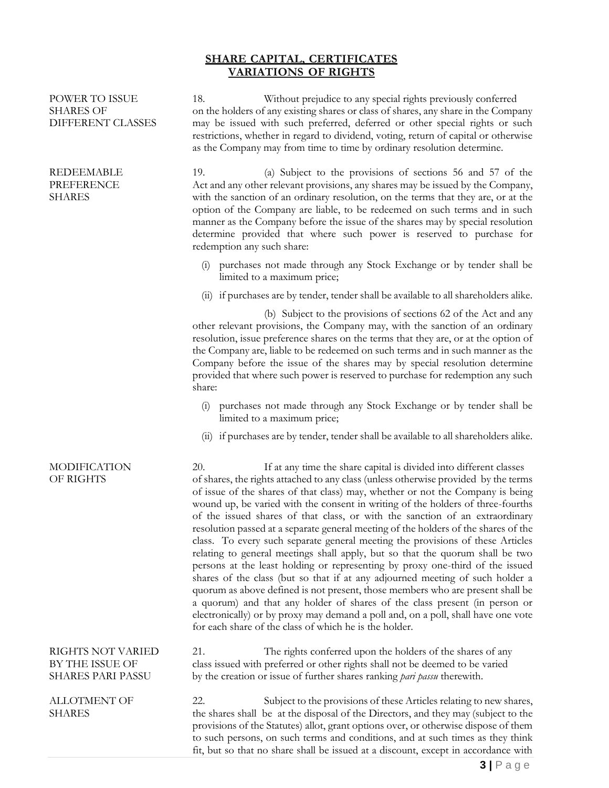# **SHARE CAPITAL, CERTIFICATES VARIATIONS OF RIGHTS**

| POWER TO ISSUE<br><b>SHARES OF</b><br><b>DIFFERENT CLASSES</b>   | 18.<br>Without prejudice to any special rights previously conferred<br>on the holders of any existing shares or class of shares, any share in the Company<br>may be issued with such preferred, deferred or other special rights or such<br>restrictions, whether in regard to dividend, voting, return of capital or otherwise<br>as the Company may from time to time by ordinary resolution determine.                                                                                                                                                                                                                                                                                                                                                                                                                                                                                                                                                                                                                                                                                                                                                        |
|------------------------------------------------------------------|------------------------------------------------------------------------------------------------------------------------------------------------------------------------------------------------------------------------------------------------------------------------------------------------------------------------------------------------------------------------------------------------------------------------------------------------------------------------------------------------------------------------------------------------------------------------------------------------------------------------------------------------------------------------------------------------------------------------------------------------------------------------------------------------------------------------------------------------------------------------------------------------------------------------------------------------------------------------------------------------------------------------------------------------------------------------------------------------------------------------------------------------------------------|
| REDEEMABLE<br>PREFERENCE<br><b>SHARES</b>                        | 19.<br>(a) Subject to the provisions of sections 56 and 57 of the<br>Act and any other relevant provisions, any shares may be issued by the Company,<br>with the sanction of an ordinary resolution, on the terms that they are, or at the<br>option of the Company are liable, to be redeemed on such terms and in such<br>manner as the Company before the issue of the shares may by special resolution<br>determine provided that where such power is reserved to purchase for<br>redemption any such share:                                                                                                                                                                                                                                                                                                                                                                                                                                                                                                                                                                                                                                                 |
|                                                                  | purchases not made through any Stock Exchange or by tender shall be<br>(1)<br>limited to a maximum price;                                                                                                                                                                                                                                                                                                                                                                                                                                                                                                                                                                                                                                                                                                                                                                                                                                                                                                                                                                                                                                                        |
|                                                                  | (ii) if purchases are by tender, tender shall be available to all shareholders alike.                                                                                                                                                                                                                                                                                                                                                                                                                                                                                                                                                                                                                                                                                                                                                                                                                                                                                                                                                                                                                                                                            |
|                                                                  | (b) Subject to the provisions of sections 62 of the Act and any<br>other relevant provisions, the Company may, with the sanction of an ordinary<br>resolution, issue preference shares on the terms that they are, or at the option of<br>the Company are, liable to be redeemed on such terms and in such manner as the<br>Company before the issue of the shares may by special resolution determine<br>provided that where such power is reserved to purchase for redemption any such<br>share:                                                                                                                                                                                                                                                                                                                                                                                                                                                                                                                                                                                                                                                               |
|                                                                  | purchases not made through any Stock Exchange or by tender shall be<br>(i)<br>limited to a maximum price;                                                                                                                                                                                                                                                                                                                                                                                                                                                                                                                                                                                                                                                                                                                                                                                                                                                                                                                                                                                                                                                        |
|                                                                  | if purchases are by tender, tender shall be available to all shareholders alike.<br>(11)                                                                                                                                                                                                                                                                                                                                                                                                                                                                                                                                                                                                                                                                                                                                                                                                                                                                                                                                                                                                                                                                         |
| <b>MODIFICATION</b><br>OF RIGHTS                                 | If at any time the share capital is divided into different classes<br>20.<br>of shares, the rights attached to any class (unless otherwise provided by the terms<br>of issue of the shares of that class) may, whether or not the Company is being<br>wound up, be varied with the consent in writing of the holders of three-fourths<br>of the issued shares of that class, or with the sanction of an extraordinary<br>resolution passed at a separate general meeting of the holders of the shares of the<br>class. To every such separate general meeting the provisions of these Articles<br>relating to general meetings shall apply, but so that the quorum shall be two<br>persons at the least holding or representing by proxy one-third of the issued<br>shares of the class (but so that if at any adjourned meeting of such holder a<br>quorum as above defined is not present, those members who are present shall be<br>a quorum) and that any holder of shares of the class present (in person or<br>electronically) or by proxy may demand a poll and, on a poll, shall have one vote<br>for each share of the class of which he is the holder. |
| RIGHTS NOT VARIED<br>BY THE ISSUE OF<br><b>SHARES PARI PASSU</b> | 21.<br>The rights conferred upon the holders of the shares of any<br>class issued with preferred or other rights shall not be deemed to be varied<br>by the creation or issue of further shares ranking pari passu therewith.                                                                                                                                                                                                                                                                                                                                                                                                                                                                                                                                                                                                                                                                                                                                                                                                                                                                                                                                    |
| <b>ALLOTMENT OF</b><br><b>SHARES</b>                             | 22.<br>Subject to the provisions of these Articles relating to new shares,<br>the shares shall be at the disposal of the Directors, and they may (subject to the<br>provisions of the Statutes) allot, grant options over, or otherwise dispose of them<br>to such persons, on such terms and conditions, and at such times as they think<br>fit, but so that no share shall be issued at a discount, except in accordance with                                                                                                                                                                                                                                                                                                                                                                                                                                                                                                                                                                                                                                                                                                                                  |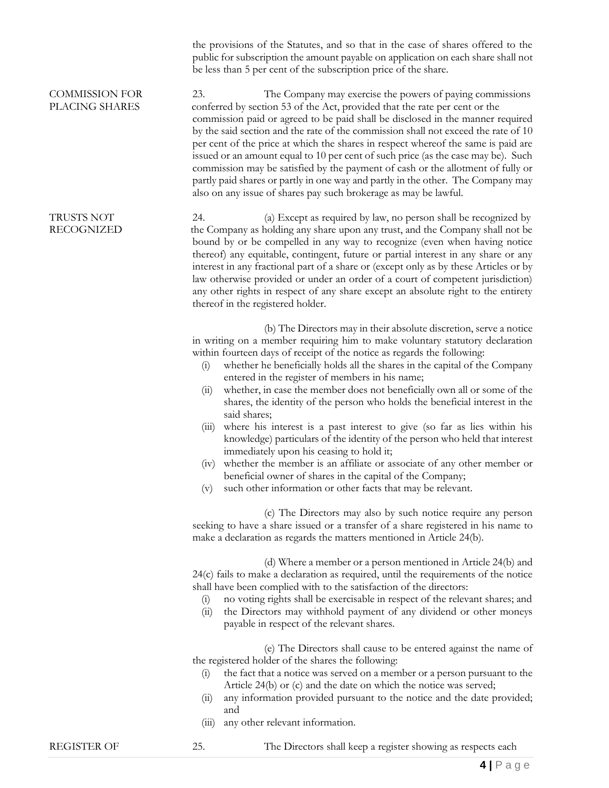the provisions of the Statutes, and so that in the case of shares offered to the public for subscription the amount payable on application on each share shall not be less than 5 per cent of the subscription price of the share.

COMMISSION FOR 23. The Company may exercise the powers of paying commissions PLACING SHARES conferred by section 53 of the Act, provided that the rate per cent or the commission paid or agreed to be paid shall be disclosed in the manner required by the said section and the rate of the commission shall not exceed the rate of 10 per cent of the price at which the shares in respect whereof the same is paid are issued or an amount equal to 10 per cent of such price (as the case may be). Such commission may be satisfied by the payment of cash or the allotment of fully or partly paid shares or partly in one way and partly in the other. The Company may also on any issue of shares pay such brokerage as may be lawful.

TRUSTS NOT 24. (a) Except as required by law, no person shall be recognized by RECOGNIZED the Company as holding any share upon any trust, and the Company shall not be bound by or be compelled in any way to recognize (even when having notice thereof) any equitable, contingent, future or partial interest in any share or any interest in any fractional part of a share or (except only as by these Articles or by law otherwise provided or under an order of a court of competent jurisdiction) any other rights in respect of any share except an absolute right to the entirety thereof in the registered holder.

> (b) The Directors may in their absolute discretion, serve a notice in writing on a member requiring him to make voluntary statutory declaration within fourteen days of receipt of the notice as regards the following:

- (i) whether he beneficially holds all the shares in the capital of the Company entered in the register of members in his name;
- (ii) whether, in case the member does not beneficially own all or some of the shares, the identity of the person who holds the beneficial interest in the said shares;
- (iii) where his interest is a past interest to give (so far as lies within his knowledge) particulars of the identity of the person who held that interest immediately upon his ceasing to hold it;
- (iv) whether the member is an affiliate or associate of any other member or beneficial owner of shares in the capital of the Company;
- (v) such other information or other facts that may be relevant.

(c) The Directors may also by such notice require any person seeking to have a share issued or a transfer of a share registered in his name to make a declaration as regards the matters mentioned in Article 24(b).

(d) Where a member or a person mentioned in Article 24(b) and 24(c) fails to make a declaration as required, until the requirements of the notice shall have been complied with to the satisfaction of the directors:

- (i) no voting rights shall be exercisable in respect of the relevant shares; and
- (ii) the Directors may withhold payment of any dividend or other moneys payable in respect of the relevant shares.

(e) The Directors shall cause to be entered against the name of the registered holder of the shares the following:

- (i) the fact that a notice was served on a member or a person pursuant to the Article 24(b) or (c) and the date on which the notice was served;
- (ii) any information provided pursuant to the notice and the date provided; and
- (iii) any other relevant information.

REGISTER OF 25. The Directors shall keep a register showing as respects each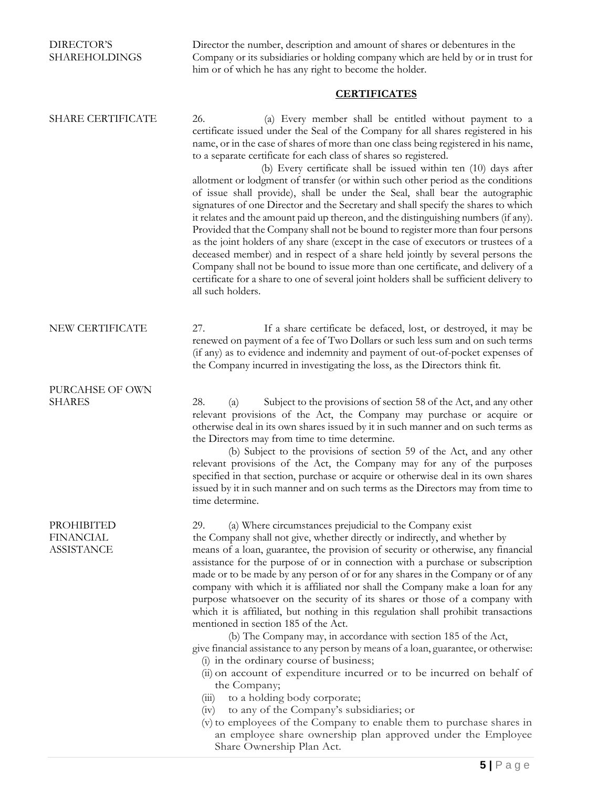| DIRECTOR'S<br><b>SHAREHOLDINGS</b>                         | Director the number, description and amount of shares or debentures in the<br>Company or its subsidiaries or holding company which are held by or in trust for<br>him or of which he has any right to become the holder.                                                                                                                                                                                                                                                                                                                                                                                                                                                                                                                                                                                                                                                                                                                                                                                                                                                                                                                                                                                                                                               |
|------------------------------------------------------------|------------------------------------------------------------------------------------------------------------------------------------------------------------------------------------------------------------------------------------------------------------------------------------------------------------------------------------------------------------------------------------------------------------------------------------------------------------------------------------------------------------------------------------------------------------------------------------------------------------------------------------------------------------------------------------------------------------------------------------------------------------------------------------------------------------------------------------------------------------------------------------------------------------------------------------------------------------------------------------------------------------------------------------------------------------------------------------------------------------------------------------------------------------------------------------------------------------------------------------------------------------------------|
|                                                            | <b>CERTIFICATES</b>                                                                                                                                                                                                                                                                                                                                                                                                                                                                                                                                                                                                                                                                                                                                                                                                                                                                                                                                                                                                                                                                                                                                                                                                                                                    |
| <b>SHARE CERTIFICATE</b>                                   | 26.<br>(a) Every member shall be entitled without payment to a<br>certificate issued under the Seal of the Company for all shares registered in his<br>name, or in the case of shares of more than one class being registered in his name,<br>to a separate certificate for each class of shares so registered.<br>(b) Every certificate shall be issued within ten (10) days after<br>allotment or lodgment of transfer (or within such other period as the conditions<br>of issue shall provide), shall be under the Seal, shall bear the autographic<br>signatures of one Director and the Secretary and shall specify the shares to which<br>it relates and the amount paid up thereon, and the distinguishing numbers (if any).<br>Provided that the Company shall not be bound to register more than four persons<br>as the joint holders of any share (except in the case of executors or trustees of a<br>deceased member) and in respect of a share held jointly by several persons the<br>Company shall not be bound to issue more than one certificate, and delivery of a<br>certificate for a share to one of several joint holders shall be sufficient delivery to<br>all such holders.                                                                   |
| NEW CERTIFICATE                                            | 27.<br>If a share certificate be defaced, lost, or destroyed, it may be<br>renewed on payment of a fee of Two Dollars or such less sum and on such terms<br>(if any) as to evidence and indemnity and payment of out-of-pocket expenses of<br>the Company incurred in investigating the loss, as the Directors think fit.                                                                                                                                                                                                                                                                                                                                                                                                                                                                                                                                                                                                                                                                                                                                                                                                                                                                                                                                              |
| PURCAHSE OF OWN<br><b>SHARES</b>                           | Subject to the provisions of section 58 of the Act, and any other<br>28.<br>(a)<br>relevant provisions of the Act, the Company may purchase or acquire or<br>otherwise deal in its own shares issued by it in such manner and on such terms as<br>the Directors may from time to time determine.<br>(b) Subject to the provisions of section 59 of the Act, and any other<br>relevant provisions of the Act, the Company may for any of the purposes<br>specified in that section, purchase or acquire or otherwise deal in its own shares<br>issued by it in such manner and on such terms as the Directors may from time to<br>time determine.                                                                                                                                                                                                                                                                                                                                                                                                                                                                                                                                                                                                                       |
| <b>PROHIBITED</b><br><b>FINANCIAL</b><br><b>ASSISTANCE</b> | 29.<br>(a) Where circumstances prejudicial to the Company exist<br>the Company shall not give, whether directly or indirectly, and whether by<br>means of a loan, guarantee, the provision of security or otherwise, any financial<br>assistance for the purpose of or in connection with a purchase or subscription<br>made or to be made by any person of or for any shares in the Company or of any<br>company with which it is affiliated nor shall the Company make a loan for any<br>purpose whatsoever on the security of its shares or those of a company with<br>which it is affiliated, but nothing in this regulation shall prohibit transactions<br>mentioned in section 185 of the Act.<br>(b) The Company may, in accordance with section 185 of the Act,<br>give financial assistance to any person by means of a loan, guarantee, or otherwise:<br>(i) in the ordinary course of business;<br>(ii) on account of expenditure incurred or to be incurred on behalf of<br>the Company;<br>to a holding body corporate;<br>(111)<br>to any of the Company's subsidiaries; or<br>(iv)<br>(v) to employees of the Company to enable them to purchase shares in<br>an employee share ownership plan approved under the Employee<br>Share Ownership Plan Act. |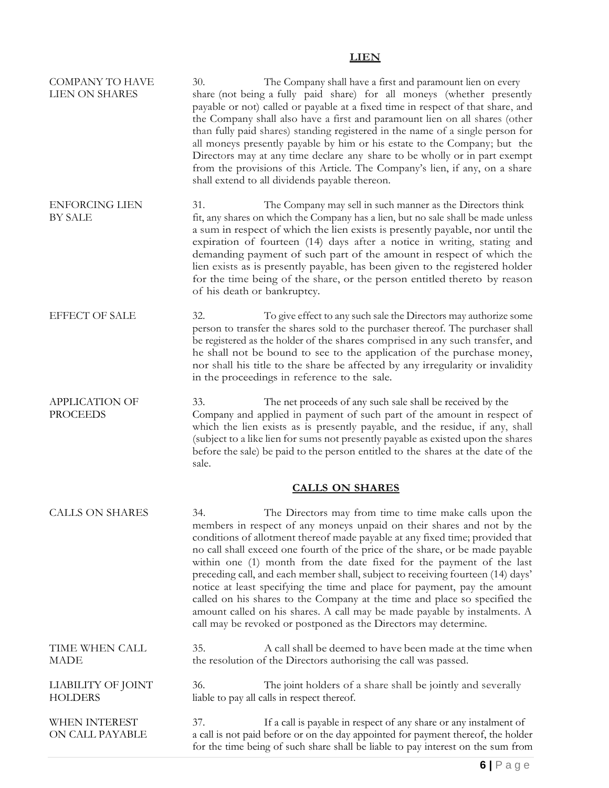# **LIEN**

| <b>COMPANY TO HAVE</b><br>LIEN ON SHARES | 30.<br>The Company shall have a first and paramount lien on every<br>share (not being a fully paid share) for all moneys (whether presently<br>payable or not) called or payable at a fixed time in respect of that share, and<br>the Company shall also have a first and paramount lien on all shares (other<br>than fully paid shares) standing registered in the name of a single person for<br>all moneys presently payable by him or his estate to the Company; but the<br>Directors may at any time declare any share to be wholly or in part exempt<br>from the provisions of this Article. The Company's lien, if any, on a share<br>shall extend to all dividends payable thereon.                                                                                       |
|------------------------------------------|-----------------------------------------------------------------------------------------------------------------------------------------------------------------------------------------------------------------------------------------------------------------------------------------------------------------------------------------------------------------------------------------------------------------------------------------------------------------------------------------------------------------------------------------------------------------------------------------------------------------------------------------------------------------------------------------------------------------------------------------------------------------------------------|
| <b>ENFORCING LIEN</b><br><b>BY SALE</b>  | 31.<br>The Company may sell in such manner as the Directors think<br>fit, any shares on which the Company has a lien, but no sale shall be made unless<br>a sum in respect of which the lien exists is presently payable, nor until the<br>expiration of fourteen (14) days after a notice in writing, stating and<br>demanding payment of such part of the amount in respect of which the<br>lien exists as is presently payable, has been given to the registered holder<br>for the time being of the share, or the person entitled thereto by reason<br>of his death or bankruptcy.                                                                                                                                                                                            |
| <b>EFFECT OF SALE</b>                    | 32.<br>To give effect to any such sale the Directors may authorize some<br>person to transfer the shares sold to the purchaser thereof. The purchaser shall<br>be registered as the holder of the shares comprised in any such transfer, and<br>he shall not be bound to see to the application of the purchase money,<br>nor shall his title to the share be affected by any irregularity or invalidity<br>in the proceedings in reference to the sale.                                                                                                                                                                                                                                                                                                                          |
| <b>APPLICATION OF</b><br><b>PROCEEDS</b> | The net proceeds of any such sale shall be received by the<br>33.<br>Company and applied in payment of such part of the amount in respect of<br>which the lien exists as is presently payable, and the residue, if any, shall<br>(subject to a like lien for sums not presently payable as existed upon the shares<br>before the sale) be paid to the person entitled to the shares at the date of the<br>sale.                                                                                                                                                                                                                                                                                                                                                                   |
|                                          | <b>CALLS ON SHARES</b>                                                                                                                                                                                                                                                                                                                                                                                                                                                                                                                                                                                                                                                                                                                                                            |
| <b>CALLS ON SHARES</b>                   | The Directors may from time to time make calls upon the<br>34.<br>members in respect of any moneys unpaid on their shares and not by the<br>conditions of allotment thereof made payable at any fixed time; provided that<br>no call shall exceed one fourth of the price of the share, or be made payable<br>within one (1) month from the date fixed for the payment of the last<br>preceding call, and each member shall, subject to receiving fourteen (14) days'<br>notice at least specifying the time and place for payment, pay the amount<br>called on his shares to the Company at the time and place so specified the<br>amount called on his shares. A call may be made payable by instalments. A<br>call may be revoked or postponed as the Directors may determine. |
| TIME WHEN CALL<br><b>MADE</b>            | A call shall be deemed to have been made at the time when<br>35.<br>the resolution of the Directors authorising the call was passed.                                                                                                                                                                                                                                                                                                                                                                                                                                                                                                                                                                                                                                              |
| LIABILITY OF JOINT<br><b>HOLDERS</b>     | 36.<br>The joint holders of a share shall be jointly and severally<br>liable to pay all calls in respect thereof.                                                                                                                                                                                                                                                                                                                                                                                                                                                                                                                                                                                                                                                                 |
| WHEN INTEREST<br>ON CALL PAYABLE         | 37.<br>If a call is payable in respect of any share or any instalment of<br>a call is not paid before or on the day appointed for payment thereof, the holder<br>for the time being of such share shall be liable to pay interest on the sum from                                                                                                                                                                                                                                                                                                                                                                                                                                                                                                                                 |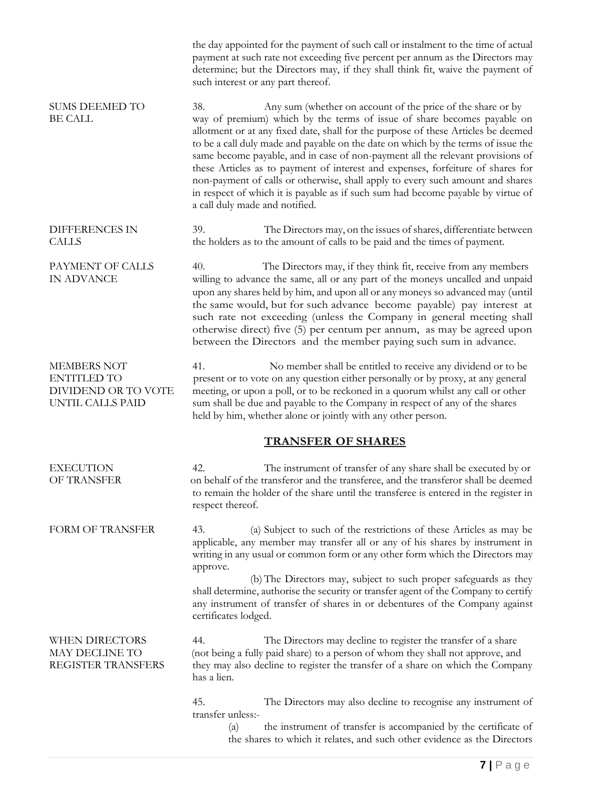|                                                                                     | the day appointed for the payment of such call or instalment to the time of actual<br>payment at such rate not exceeding five percent per annum as the Directors may<br>determine; but the Directors may, if they shall think fit, waive the payment of<br>such interest or any part thereof.                                                                                                                                                                                                                                                                                                                                                                                                        |
|-------------------------------------------------------------------------------------|------------------------------------------------------------------------------------------------------------------------------------------------------------------------------------------------------------------------------------------------------------------------------------------------------------------------------------------------------------------------------------------------------------------------------------------------------------------------------------------------------------------------------------------------------------------------------------------------------------------------------------------------------------------------------------------------------|
| <b>SUMS DEEMED TO</b><br><b>BE CALL</b>                                             | 38.<br>Any sum (whether on account of the price of the share or by<br>way of premium) which by the terms of issue of share becomes payable on<br>allotment or at any fixed date, shall for the purpose of these Articles be deemed<br>to be a call duly made and payable on the date on which by the terms of issue the<br>same become payable, and in case of non-payment all the relevant provisions of<br>these Articles as to payment of interest and expenses, forfeiture of shares for<br>non-payment of calls or otherwise, shall apply to every such amount and shares<br>in respect of which it is payable as if such sum had become payable by virtue of<br>a call duly made and notified. |
| <b>DIFFERENCES IN</b><br><b>CALLS</b>                                               | 39.<br>The Directors may, on the issues of shares, differentiate between<br>the holders as to the amount of calls to be paid and the times of payment.                                                                                                                                                                                                                                                                                                                                                                                                                                                                                                                                               |
| PAYMENT OF CALLS<br>IN ADVANCE                                                      | The Directors may, if they think fit, receive from any members<br>40.<br>willing to advance the same, all or any part of the moneys uncalled and unpaid<br>upon any shares held by him, and upon all or any moneys so advanced may (until<br>the same would, but for such advance become payable) pay interest at<br>such rate not exceeding (unless the Company in general meeting shall<br>otherwise direct) five (5) per centum per annum, as may be agreed upon<br>between the Directors and the member paying such sum in advance.                                                                                                                                                              |
| <b>MEMBERS NOT</b><br><b>ENTITLED TO</b><br>DIVIDEND OR TO VOTE<br>UNTIL CALLS PAID | 41.<br>No member shall be entitled to receive any dividend or to be<br>present or to vote on any question either personally or by proxy, at any general<br>meeting, or upon a poll, or to be reckoned in a quorum whilst any call or other<br>sum shall be due and payable to the Company in respect of any of the shares<br>held by him, whether alone or jointly with any other person.                                                                                                                                                                                                                                                                                                            |
|                                                                                     | <b>TRANSFER OF SHARES</b>                                                                                                                                                                                                                                                                                                                                                                                                                                                                                                                                                                                                                                                                            |
| <b>EXECUTION</b><br>OF TRANSFER                                                     | The instrument of transfer of any share shall be executed by or<br>42.<br>on behalf of the transferor and the transferee, and the transferor shall be deemed<br>to remain the holder of the share until the transferee is entered in the register in<br>respect thereof.                                                                                                                                                                                                                                                                                                                                                                                                                             |
| FORM OF TRANSFER                                                                    | 43.<br>(a) Subject to such of the restrictions of these Articles as may be<br>applicable, any member may transfer all or any of his shares by instrument in<br>writing in any usual or common form or any other form which the Directors may<br>approve.                                                                                                                                                                                                                                                                                                                                                                                                                                             |
|                                                                                     | (b) The Directors may, subject to such proper safeguards as they<br>shall determine, authorise the security or transfer agent of the Company to certify<br>any instrument of transfer of shares in or debentures of the Company against<br>certificates lodged.                                                                                                                                                                                                                                                                                                                                                                                                                                      |
| <b>WHEN DIRECTORS</b><br>MAY DECLINE TO<br>REGISTER TRANSFERS                       | The Directors may decline to register the transfer of a share<br>44.<br>(not being a fully paid share) to a person of whom they shall not approve, and<br>they may also decline to register the transfer of a share on which the Company<br>has a lien.                                                                                                                                                                                                                                                                                                                                                                                                                                              |
|                                                                                     | 45.<br>The Directors may also decline to recognise any instrument of<br>transfer unless:-                                                                                                                                                                                                                                                                                                                                                                                                                                                                                                                                                                                                            |
|                                                                                     | the instrument of transfer is accompanied by the certificate of<br>(a)<br>the shares to which it relates, and such other evidence as the Directors                                                                                                                                                                                                                                                                                                                                                                                                                                                                                                                                                   |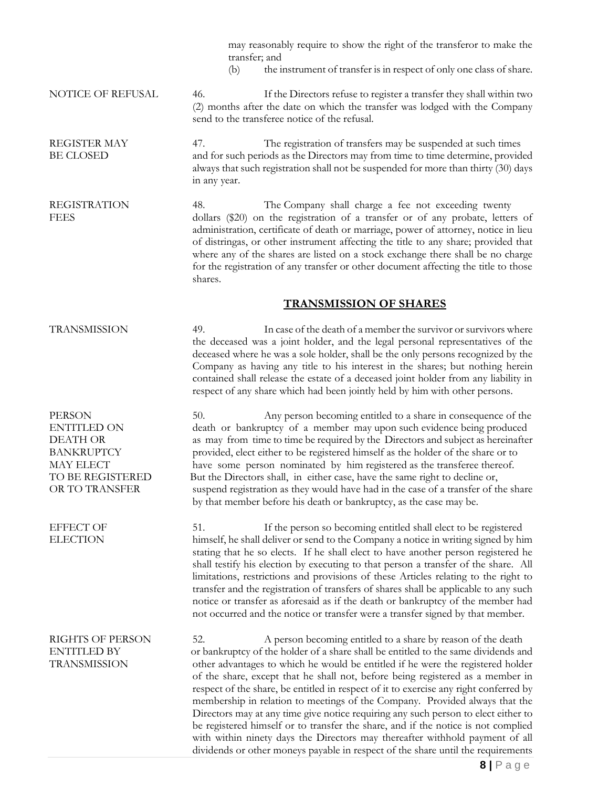may reasonably require to show the right of the transferor to make the transfer; and

(b) the instrument of transfer is in respect of only one class of share.

NOTICE OF REFUSAL 46. If the Directors refuse to register a transfer they shall within two (2) months after the date on which the transfer was lodged with the Company send to the transferee notice of the refusal.

REGISTER MAY 47. The registration of transfers may be suspended at such times BE CLOSED and for such periods as the Directors may from time to time determine, provided always that such registration shall not be suspended for more than thirty (30) days in any year.

REGISTRATION 48. The Company shall charge a fee not exceeding twenty FEES dollars (\$20) on the registration of a transfer or of any probate, letters of administration, certificate of death or marriage, power of attorney, notice in lieu of distringas, or other instrument affecting the title to any share; provided that where any of the shares are listed on a stock exchange there shall be no charge for the registration of any transfer or other document affecting the title to those shares.

#### **TRANSMISSION OF SHARES**

TRANSMISSION 49. In case of the death of a member the survivor or survivors where the deceased was a joint holder, and the legal personal representatives of the deceased where he was a sole holder, shall be the only persons recognized by the Company as having any title to his interest in the shares; but nothing herein contained shall release the estate of a deceased joint holder from any liability in respect of any share which had been jointly held by him with other persons.

PERSON 50. Any person becoming entitled to a share in consequence of the ENTITLED ON death or bankruptcy of a member may upon such evidence being produced DEATH OR as may from time to time be required by the Directors and subject as hereinafter BANKRUPTCY provided, elect either to be registered himself as the holder of the share or to MAY ELECT have some person nominated by him registered as the transferee thereof. TO BE REGISTERED But the Directors shall, in either case, have the same right to decline or, OR TO TRANSFER suspend registration as they would have had in the case of a transfer of the share by that member before his death or bankruptcy, as the case may be.

EFFECT OF 51. If the person so becoming entitled shall elect to be registered ELECTION himself, he shall deliver or send to the Company a notice in writing signed by him stating that he so elects. If he shall elect to have another person registered he shall testify his election by executing to that person a transfer of the share. All limitations, restrictions and provisions of these Articles relating to the right to transfer and the registration of transfers of shares shall be applicable to any such notice or transfer as aforesaid as if the death or bankruptcy of the member had not occurred and the notice or transfer were a transfer signed by that member.

RIGHTS OF PERSON 52. A person becoming entitled to a share by reason of the death ENTITLED BY or bankruptcy of the holder of a share shall be entitled to the same dividends and TRANSMISSION other advantages to which he would be entitled if he were the registered holder of the share, except that he shall not, before being registered as a member in respect of the share, be entitled in respect of it to exercise any right conferred by membership in relation to meetings of the Company. Provided always that the Directors may at any time give notice requiring any such person to elect either to be registered himself or to transfer the share, and if the notice is not complied with within ninety days the Directors may thereafter withhold payment of all dividends or other moneys payable in respect of the share until the requirements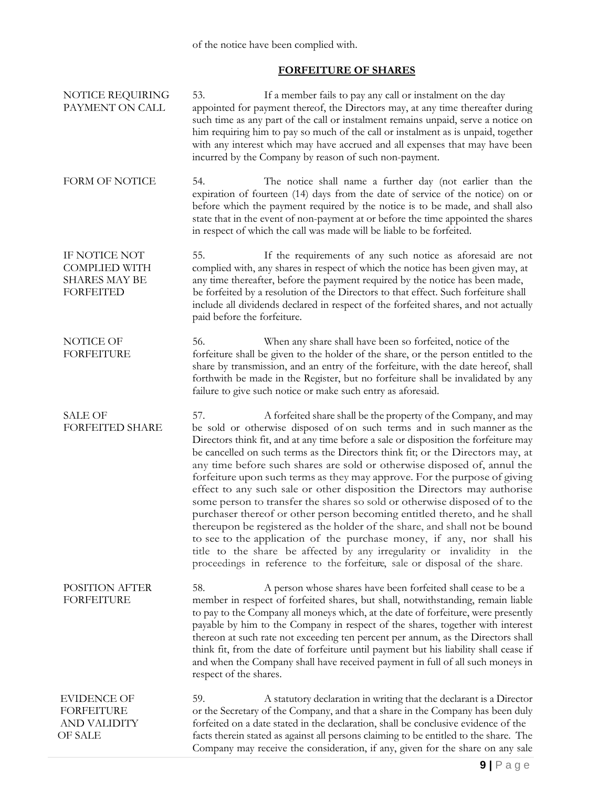of the notice have been complied with.

# **FORFEITURE OF SHARES**

| NOTICE REQUIRING<br>PAYMENT ON CALL                                               | 53.<br>If a member fails to pay any call or instalment on the day<br>appointed for payment thereof, the Directors may, at any time thereafter during<br>such time as any part of the call or instalment remains unpaid, serve a notice on<br>him requiring him to pay so much of the call or instalment as is unpaid, together<br>with any interest which may have accrued and all expenses that may have been<br>incurred by the Company by reason of such non-payment.                                                                                                                                                                                                                                                                                                                                                                                                                                                                                                                                                                       |
|-----------------------------------------------------------------------------------|------------------------------------------------------------------------------------------------------------------------------------------------------------------------------------------------------------------------------------------------------------------------------------------------------------------------------------------------------------------------------------------------------------------------------------------------------------------------------------------------------------------------------------------------------------------------------------------------------------------------------------------------------------------------------------------------------------------------------------------------------------------------------------------------------------------------------------------------------------------------------------------------------------------------------------------------------------------------------------------------------------------------------------------------|
| FORM OF NOTICE                                                                    | 54.<br>The notice shall name a further day (not earlier than the<br>expiration of fourteen (14) days from the date of service of the notice) on or<br>before which the payment required by the notice is to be made, and shall also<br>state that in the event of non-payment at or before the time appointed the shares<br>in respect of which the call was made will be liable to be forfeited.                                                                                                                                                                                                                                                                                                                                                                                                                                                                                                                                                                                                                                              |
| IF NOTICE NOT<br><b>COMPLIED WITH</b><br><b>SHARES MAY BE</b><br><b>FORFEITED</b> | 55.<br>If the requirements of any such notice as aforesaid are not<br>complied with, any shares in respect of which the notice has been given may, at<br>any time thereafter, before the payment required by the notice has been made,<br>be forfeited by a resolution of the Directors to that effect. Such forfeiture shall<br>include all dividends declared in respect of the forfeited shares, and not actually<br>paid before the forfeiture.                                                                                                                                                                                                                                                                                                                                                                                                                                                                                                                                                                                            |
| NOTICE OF<br><b>FORFEITURE</b>                                                    | 56.<br>When any share shall have been so forfeited, notice of the<br>forfeiture shall be given to the holder of the share, or the person entitled to the<br>share by transmission, and an entry of the forfeiture, with the date hereof, shall<br>forthwith be made in the Register, but no forfeiture shall be invalidated by any<br>failure to give such notice or make such entry as aforesaid.                                                                                                                                                                                                                                                                                                                                                                                                                                                                                                                                                                                                                                             |
| <b>SALE OF</b><br>FORFEITED SHARE                                                 | A forfeited share shall be the property of the Company, and may<br>57.<br>be sold or otherwise disposed of on such terms and in such manner as the<br>Directors think fit, and at any time before a sale or disposition the forfeiture may<br>be cancelled on such terms as the Directors think fit; or the Directors may, at<br>any time before such shares are sold or otherwise disposed of, annul the<br>forfeiture upon such terms as they may approve. For the purpose of giving<br>effect to any such sale or other disposition the Directors may authorise<br>some person to transfer the shares so sold or otherwise disposed of to the<br>purchaser thereof or other person becoming entitled thereto, and he shall<br>thereupon be registered as the holder of the share, and shall not be bound<br>to see to the application of the purchase money, if any, nor shall his<br>title to the share be affected by any irregularity or invalidity in the<br>proceedings in reference to the forfeiture, sale or disposal of the share. |
| POSITION AFTER<br><b>FORFEITURE</b>                                               | 58.<br>A person whose shares have been forfeited shall cease to be a<br>member in respect of forfeited shares, but shall, notwithstanding, remain liable<br>to pay to the Company all moneys which, at the date of forfeiture, were presently<br>payable by him to the Company in respect of the shares, together with interest<br>thereon at such rate not exceeding ten percent per annum, as the Directors shall<br>think fit, from the date of forfeiture until payment but his liability shall cease if<br>and when the Company shall have received payment in full of all such moneys in<br>respect of the shares.                                                                                                                                                                                                                                                                                                                                                                                                                       |
| <b>EVIDENCE OF</b><br><b>FORFEITURE</b><br><b>AND VALIDITY</b><br>OF SALE         | 59.<br>A statutory declaration in writing that the declarant is a Director<br>or the Secretary of the Company, and that a share in the Company has been duly<br>forfeited on a date stated in the declaration, shall be conclusive evidence of the<br>facts therein stated as against all persons claiming to be entitled to the share. The<br>Company may receive the consideration, if any, given for the share on any sale                                                                                                                                                                                                                                                                                                                                                                                                                                                                                                                                                                                                                  |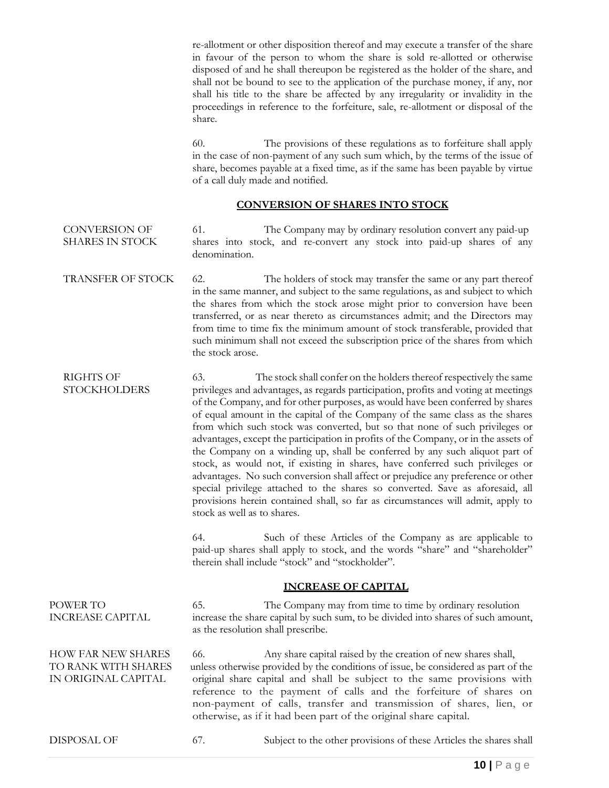re-allotment or other disposition thereof and may execute a transfer of the share in favour of the person to whom the share is sold re-allotted or otherwise disposed of and he shall thereupon be registered as the holder of the share, and shall not be bound to see to the application of the purchase money, if any, nor shall his title to the share be affected by any irregularity or invalidity in the proceedings in reference to the forfeiture, sale, re-allotment or disposal of the share.

60. The provisions of these regulations as to forfeiture shall apply in the case of non-payment of any such sum which, by the terms of the issue of share, becomes payable at a fixed time, as if the same has been payable by virtue of a call duly made and notified.

### **CONVERSION OF SHARES INTO STOCK**

CONVERSION OF 61. The Company may by ordinary resolution convert any paid-up SHARES IN STOCK shares into stock, and re-convert any stock into paid-up shares of any denomination.

TRANSFER OF STOCK 62. The holders of stock may transfer the same or any part thereof in the same manner, and subject to the same regulations, as and subject to which the shares from which the stock arose might prior to conversion have been transferred, or as near thereto as circumstances admit; and the Directors may from time to time fix the minimum amount of stock transferable, provided that such minimum shall not exceed the subscription price of the shares from which the stock arose.

RIGHTS OF 63. The stock shall confer on the holders thereof respectively the same STOCKHOLDERS privileges and advantages, as regards participation, profits and voting at meetings of the Company, and for other purposes, as would have been conferred by shares of equal amount in the capital of the Company of the same class as the shares from which such stock was converted, but so that none of such privileges or advantages, except the participation in profits of the Company, or in the assets of the Company on a winding up, shall be conferred by any such aliquot part of stock, as would not, if existing in shares, have conferred such privileges or advantages. No such conversion shall affect or prejudice any preference or other special privilege attached to the shares so converted. Save as aforesaid, all provisions herein contained shall, so far as circumstances will admit, apply to stock as well as to shares.

> 64. Such of these Articles of the Company as are applicable to paid-up shares shall apply to stock, and the words "share" and "shareholder" therein shall include "stock" and "stockholder".

#### **INCREASE OF CAPITAL**

| POWER TO<br><b>INCREASE CAPITAL</b>                                     | 65.  | The Company may from time to time by ordinary resolution<br>increase the share capital by such sum, to be divided into shares of such amount,<br>as the resolution shall prescribe.                                                                                                                                                                                                                                                            |
|-------------------------------------------------------------------------|------|------------------------------------------------------------------------------------------------------------------------------------------------------------------------------------------------------------------------------------------------------------------------------------------------------------------------------------------------------------------------------------------------------------------------------------------------|
| <b>HOW FAR NEW SHARES</b><br>TO RANK WITH SHARES<br>IN ORIGINAL CAPITAL | -66. | Any share capital raised by the creation of new shares shall,<br>unless otherwise provided by the conditions of issue, be considered as part of the<br>original share capital and shall be subject to the same provisions with<br>reference to the payment of calls and the forfeiture of shares on<br>non-payment of calls, transfer and transmission of shares, lien, or<br>otherwise, as if it had been part of the original share capital. |
| <b>DISPOSAL OF</b>                                                      | 67.  | Subject to the other provisions of these Articles the shares shall                                                                                                                                                                                                                                                                                                                                                                             |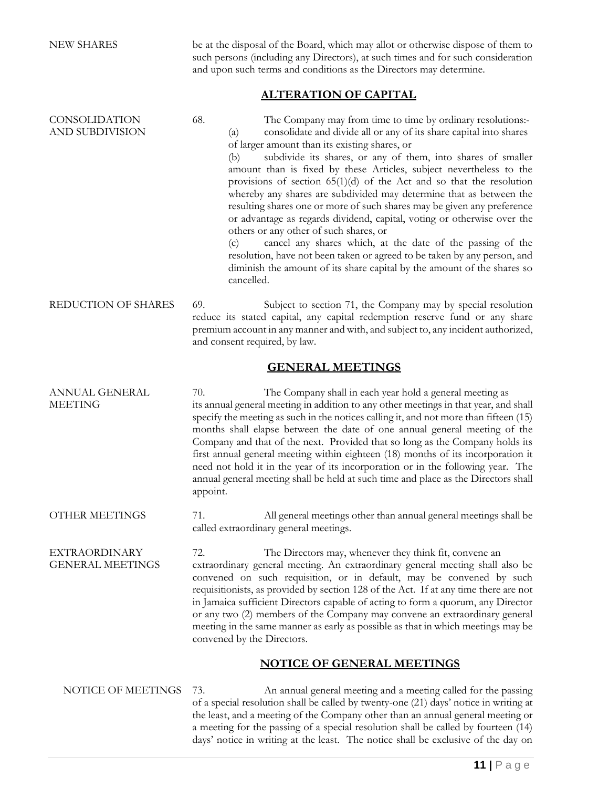NEW SHARES be at the disposal of the Board, which may allot or otherwise dispose of them to such persons (including any Directors), at such times and for such consideration and upon such terms and conditions as the Directors may determine.

## **ALTERATION OF CAPITAL**

| CONSOLIDATION<br>AND SUBDIVISION                | 68.<br>The Company may from time to time by ordinary resolutions:-<br>consolidate and divide all or any of its share capital into shares<br>(a)<br>of larger amount than its existing shares, or<br>subdivide its shares, or any of them, into shares of smaller<br>(b)<br>amount than is fixed by these Articles, subject nevertheless to the<br>provisions of section $65(1)(d)$ of the Act and so that the resolution<br>whereby any shares are subdivided may determine that as between the<br>resulting shares one or more of such shares may be given any preference<br>or advantage as regards dividend, capital, voting or otherwise over the<br>others or any other of such shares, or<br>cancel any shares which, at the date of the passing of the<br>(c)<br>resolution, have not been taken or agreed to be taken by any person, and<br>diminish the amount of its share capital by the amount of the shares so<br>cancelled. |  |
|-------------------------------------------------|-------------------------------------------------------------------------------------------------------------------------------------------------------------------------------------------------------------------------------------------------------------------------------------------------------------------------------------------------------------------------------------------------------------------------------------------------------------------------------------------------------------------------------------------------------------------------------------------------------------------------------------------------------------------------------------------------------------------------------------------------------------------------------------------------------------------------------------------------------------------------------------------------------------------------------------------|--|
| REDUCTION OF SHARES                             | Subject to section 71, the Company may by special resolution<br>69.<br>reduce its stated capital, any capital redemption reserve fund or any share<br>premium account in any manner and with, and subject to, any incident authorized,<br>and consent required, by law.                                                                                                                                                                                                                                                                                                                                                                                                                                                                                                                                                                                                                                                                   |  |
| <b>GENERAL MEETINGS</b>                         |                                                                                                                                                                                                                                                                                                                                                                                                                                                                                                                                                                                                                                                                                                                                                                                                                                                                                                                                           |  |
| ANNUAL GENERAL<br><b>MEETING</b>                | 70.<br>The Company shall in each year hold a general meeting as<br>its annual general meeting in addition to any other meetings in that year, and shall<br>specify the meeting as such in the notices calling it, and not more than fifteen (15)<br>months shall elapse between the date of one annual general meeting of the<br>Company and that of the next. Provided that so long as the Company holds its<br>first annual general meeting within eighteen (18) months of its incorporation it<br>need not hold it in the year of its incorporation or in the following year. The<br>annual general meeting shall be held at such time and place as the Directors shall<br>appoint.                                                                                                                                                                                                                                                    |  |
| OTHER MEETINGS                                  | All general meetings other than annual general meetings shall be<br>71.<br>called extraordinary general meetings.                                                                                                                                                                                                                                                                                                                                                                                                                                                                                                                                                                                                                                                                                                                                                                                                                         |  |
| <b>EXTRAORDINARY</b><br><b>GENERAL MEETINGS</b> | 72.<br>The Directors may, whenever they think fit, convene an<br>extraordinary general meeting. An extraordinary general meeting shall also be<br>convened on such requisition, or in default, may be convened by such<br>requisitionists, as provided by section 128 of the Act. If at any time there are not<br>in Jamaica sufficient Directors capable of acting to form a quorum, any Director<br>or any two (2) members of the Company may convene an extraordinary general<br>meeting in the same manner as early as possible as that in which meetings may be<br>convened by the Directors.<br><b>NOTICE OF GENERAL MEETINGS</b>                                                                                                                                                                                                                                                                                                   |  |
|                                                 |                                                                                                                                                                                                                                                                                                                                                                                                                                                                                                                                                                                                                                                                                                                                                                                                                                                                                                                                           |  |
| NOTICE OF MEETINGS                              | 73.<br>An annual general meeting and a meeting called for the passing<br>of a special resolution shall be called by twenty-one (21) days' notice in writing at<br>the least, and a meeting of the Company other than an annual general meeting or                                                                                                                                                                                                                                                                                                                                                                                                                                                                                                                                                                                                                                                                                         |  |

a meeting for the passing of a special resolution shall be called by fourteen (14) days' notice in writing at the least. The notice shall be exclusive of the day on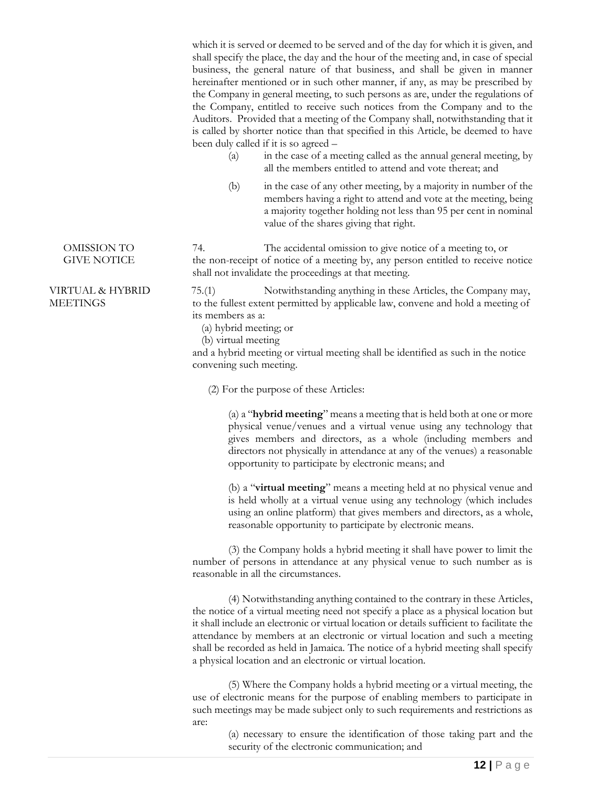which it is served or deemed to be served and of the day for which it is given, and shall specify the place, the day and the hour of the meeting and, in case of special business, the general nature of that business, and shall be given in manner hereinafter mentioned or in such other manner, if any, as may be prescribed by the Company in general meeting, to such persons as are, under the regulations of the Company, entitled to receive such notices from the Company and to the Auditors. Provided that a meeting of the Company shall, notwithstanding that it is called by shorter notice than that specified in this Article, be deemed to have been duly called if it is so agreed – (a) in the case of a meeting called as the annual general meeting, by all the members entitled to attend and vote thereat; and (b) in the case of any other meeting, by a majority in number of the members having a right to attend and vote at the meeting, being a majority together holding not less than 95 per cent in nominal value of the shares giving that right. OMISSION TO 74. The accidental omission to give notice of a meeting to, or GIVE NOTICE the non-receipt of notice of a meeting by, any person entitled to receive notice shall not invalidate the proceedings at that meeting. VIRTUAL & HYBRID 75.(1) Notwithstanding anything in these Articles, the Company may, MEETINGS to the fullest extent permitted by applicable law, convene and hold a meeting of its members as a: (a) hybrid meeting; or (b) virtual meeting and a hybrid meeting or virtual meeting shall be identified as such in the notice convening such meeting. (2) For the purpose of these Articles: (a) a "**hybrid meeting**" means a meeting that is held both at one or more physical venue/venues and a virtual venue using any technology that gives members and directors, as a whole (including members and directors not physically in attendance at any of the venues) a reasonable opportunity to participate by electronic means; and (b) a "**virtual meeting**" means a meeting held at no physical venue and is held wholly at a virtual venue using any technology (which includes using an online platform) that gives members and directors, as a whole, reasonable opportunity to participate by electronic means. (3) the Company holds a hybrid meeting it shall have power to limit the number of persons in attendance at any physical venue to such number as is reasonable in all the circumstances. (4) Notwithstanding anything contained to the contrary in these Articles, the notice of a virtual meeting need not specify a place as a physical location but it shall include an electronic or virtual location or details sufficient to facilitate the attendance by members at an electronic or virtual location and such a meeting shall be recorded as held in Jamaica. The notice of a hybrid meeting shall specify a physical location and an electronic or virtual location. (5) Where the Company holds a hybrid meeting or a virtual meeting, the use of electronic means for the purpose of enabling members to participate in such meetings may be made subject only to such requirements and restrictions as are: (a) necessary to ensure the identification of those taking part and the security of the electronic communication; and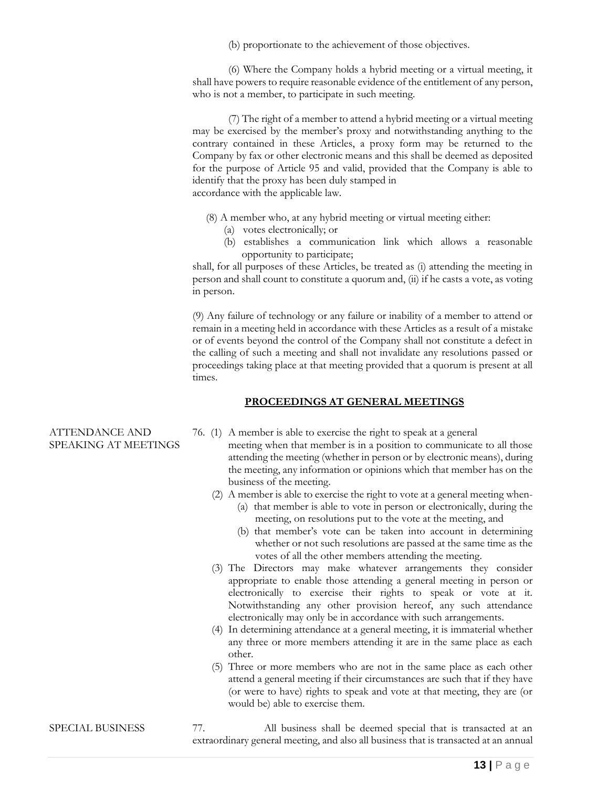(b) proportionate to the achievement of those objectives.

(6) Where the Company holds a hybrid meeting or a virtual meeting, it shall have powers to require reasonable evidence of the entitlement of any person, who is not a member, to participate in such meeting.

(7) The right of a member to attend a hybrid meeting or a virtual meeting may be exercised by the member's proxy and notwithstanding anything to the contrary contained in these Articles, a proxy form may be returned to the Company by fax or other electronic means and this shall be deemed as deposited for the purpose of Article 95 and valid, provided that the Company is able to identify that the proxy has been duly stamped in accordance with the applicable law.

- (8) A member who, at any hybrid meeting or virtual meeting either:
	- (a) votes electronically; or
	- (b) establishes a communication link which allows a reasonable opportunity to participate;

shall, for all purposes of these Articles, be treated as (i) attending the meeting in person and shall count to constitute a quorum and, (ii) if he casts a vote, as voting in person.

(9) Any failure of technology or any failure or inability of a member to attend or remain in a meeting held in accordance with these Articles as a result of a mistake or of events beyond the control of the Company shall not constitute a defect in the calling of such a meeting and shall not invalidate any resolutions passed or proceedings taking place at that meeting provided that a quorum is present at all times.

#### **PROCEEDINGS AT GENERAL MEETINGS**

- ATTENDANCE AND 76. (1) A member is able to exercise the right to speak at a general SPEAKING AT MEETINGS meeting when that member is in a position to communicate to all those attending the meeting (whether in person or by electronic means), during the meeting, any information or opinions which that member has on the business of the meeting.
	- (2) A member is able to exercise the right to vote at a general meeting when-
		- (a) that member is able to vote in person or electronically, during the meeting, on resolutions put to the vote at the meeting, and
		- (b) that member's vote can be taken into account in determining whether or not such resolutions are passed at the same time as the votes of all the other members attending the meeting.
	- (3) The Directors may make whatever arrangements they consider appropriate to enable those attending a general meeting in person or electronically to exercise their rights to speak or vote at it. Notwithstanding any other provision hereof, any such attendance electronically may only be in accordance with such arrangements.
	- (4) In determining attendance at a general meeting, it is immaterial whether any three or more members attending it are in the same place as each other.
	- (5) Three or more members who are not in the same place as each other attend a general meeting if their circumstances are such that if they have (or were to have) rights to speak and vote at that meeting, they are (or would be) able to exercise them.

SPECIAL BUSINESS 77. All business shall be deemed special that is transacted at an extraordinary general meeting, and also all business that is transacted at an annual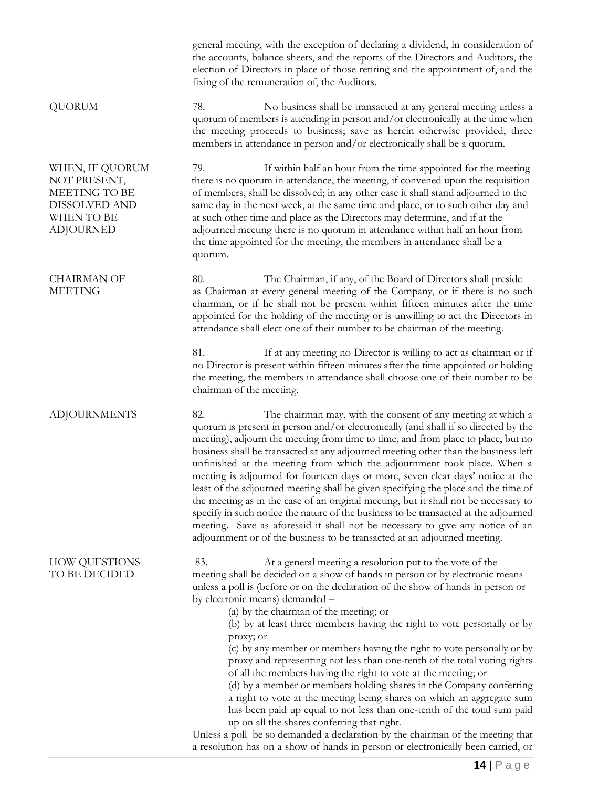|                                                                                                            | general meeting, with the exception of declaring a dividend, in consideration of<br>the accounts, balance sheets, and the reports of the Directors and Auditors, the<br>election of Directors in place of those retiring and the appointment of, and the<br>fixing of the remuneration of, the Auditors.                                                                                                                                                                                                                                                                                                                                                                                                                                                                                                                                                                                                                                                                                                                                                                          |
|------------------------------------------------------------------------------------------------------------|-----------------------------------------------------------------------------------------------------------------------------------------------------------------------------------------------------------------------------------------------------------------------------------------------------------------------------------------------------------------------------------------------------------------------------------------------------------------------------------------------------------------------------------------------------------------------------------------------------------------------------------------------------------------------------------------------------------------------------------------------------------------------------------------------------------------------------------------------------------------------------------------------------------------------------------------------------------------------------------------------------------------------------------------------------------------------------------|
| <b>QUORUM</b>                                                                                              | 78.<br>No business shall be transacted at any general meeting unless a<br>quorum of members is attending in person and/or electronically at the time when<br>the meeting proceeds to business; save as herein otherwise provided, three<br>members in attendance in person and/or electronically shall be a quorum.                                                                                                                                                                                                                                                                                                                                                                                                                                                                                                                                                                                                                                                                                                                                                               |
| WHEN, IF QUORUM<br>NOT PRESENT,<br>MEETING TO BE<br><b>DISSOLVED AND</b><br>WHEN TO BE<br><b>ADJOURNED</b> | 79.<br>If within half an hour from the time appointed for the meeting<br>there is no quorum in attendance, the meeting, if convened upon the requisition<br>of members, shall be dissolved; in any other case it shall stand adjourned to the<br>same day in the next week, at the same time and place, or to such other day and<br>at such other time and place as the Directors may determine, and if at the<br>adjourned meeting there is no quorum in attendance within half an hour from<br>the time appointed for the meeting, the members in attendance shall be a<br>quorum.                                                                                                                                                                                                                                                                                                                                                                                                                                                                                              |
| <b>CHAIRMAN OF</b><br><b>MEETING</b>                                                                       | 80.<br>The Chairman, if any, of the Board of Directors shall preside<br>as Chairman at every general meeting of the Company, or if there is no such<br>chairman, or if he shall not be present within fifteen minutes after the time<br>appointed for the holding of the meeting or is unwilling to act the Directors in<br>attendance shall elect one of their number to be chairman of the meeting.                                                                                                                                                                                                                                                                                                                                                                                                                                                                                                                                                                                                                                                                             |
|                                                                                                            | 81.<br>If at any meeting no Director is willing to act as chairman or if<br>no Director is present within fifteen minutes after the time appointed or holding<br>the meeting, the members in attendance shall choose one of their number to be<br>chairman of the meeting.                                                                                                                                                                                                                                                                                                                                                                                                                                                                                                                                                                                                                                                                                                                                                                                                        |
| <b>ADJOURNMENTS</b>                                                                                        | 82.<br>The chairman may, with the consent of any meeting at which a<br>quorum is present in person and/or electronically (and shall if so directed by the<br>meeting), adjourn the meeting from time to time, and from place to place, but no<br>business shall be transacted at any adjourned meeting other than the business left<br>unfinished at the meeting from which the adjournment took place. When a<br>meeting is adjourned for fourteen days or more, seven clear days' notice at the<br>least of the adjourned meeting shall be given specifying the place and the time of<br>the meeting as in the case of an original meeting, but it shall not be necessary to<br>specify in such notice the nature of the business to be transacted at the adjourned<br>meeting. Save as aforesaid it shall not be necessary to give any notice of an<br>adjournment or of the business to be transacted at an adjourned meeting.                                                                                                                                                |
| <b>HOW QUESTIONS</b><br>TO BE DECIDED                                                                      | 83.<br>At a general meeting a resolution put to the vote of the<br>meeting shall be decided on a show of hands in person or by electronic means<br>unless a poll is (before or on the declaration of the show of hands in person or<br>by electronic means) demanded -<br>(a) by the chairman of the meeting; or<br>(b) by at least three members having the right to vote personally or by<br>proxy; or<br>(c) by any member or members having the right to vote personally or by<br>proxy and representing not less than one-tenth of the total voting rights<br>of all the members having the right to vote at the meeting; or<br>(d) by a member or members holding shares in the Company conferring<br>a right to vote at the meeting being shares on which an aggregate sum<br>has been paid up equal to not less than one-tenth of the total sum paid<br>up on all the shares conferring that right.<br>Unless a poll be so demanded a declaration by the chairman of the meeting that<br>a resolution has on a show of hands in person or electronically been carried, or |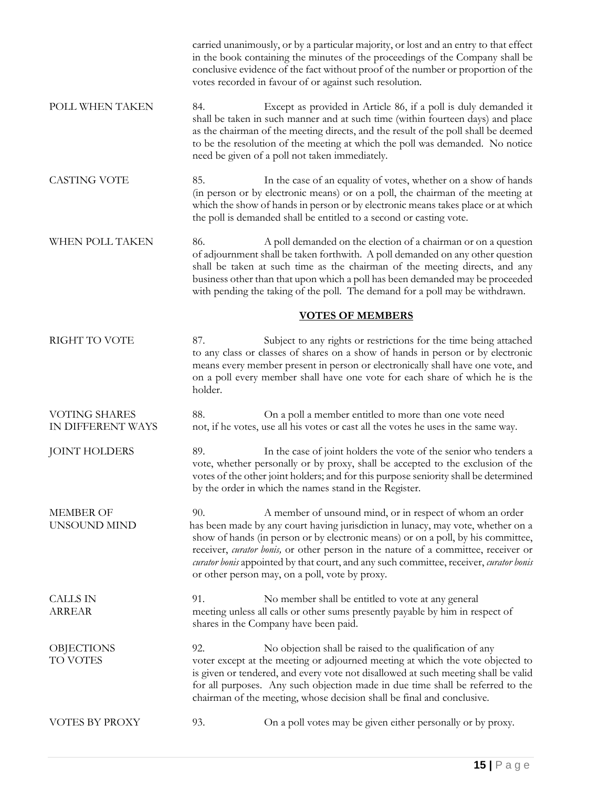|                                           |                | carried unanimously, or by a particular majority, or lost and an entry to that effect<br>in the book containing the minutes of the proceedings of the Company shall be<br>conclusive evidence of the fact without proof of the number or proportion of the<br>votes recorded in favour of or against such resolution.                                                                                                                                              |
|-------------------------------------------|----------------|--------------------------------------------------------------------------------------------------------------------------------------------------------------------------------------------------------------------------------------------------------------------------------------------------------------------------------------------------------------------------------------------------------------------------------------------------------------------|
| POLL WHEN TAKEN                           | 84.            | Except as provided in Article 86, if a poll is duly demanded it<br>shall be taken in such manner and at such time (within fourteen days) and place<br>as the chairman of the meeting directs, and the result of the poll shall be deemed<br>to be the resolution of the meeting at which the poll was demanded. No notice<br>need be given of a poll not taken immediately.                                                                                        |
| <b>CASTING VOTE</b>                       | 85.            | In the case of an equality of votes, whether on a show of hands<br>(in person or by electronic means) or on a poll, the chairman of the meeting at<br>which the show of hands in person or by electronic means takes place or at which<br>the poll is demanded shall be entitled to a second or casting vote.                                                                                                                                                      |
| <b>WHEN POLL TAKEN</b>                    | 86.            | A poll demanded on the election of a chairman or on a question<br>of adjournment shall be taken forthwith. A poll demanded on any other question<br>shall be taken at such time as the chairman of the meeting directs, and any<br>business other than that upon which a poll has been demanded may be proceeded<br>with pending the taking of the poll. The demand for a poll may be withdrawn.                                                                   |
|                                           |                | <b>VOTES OF MEMBERS</b>                                                                                                                                                                                                                                                                                                                                                                                                                                            |
| RIGHT TO VOTE                             | 87.<br>holder. | Subject to any rights or restrictions for the time being attached<br>to any class or classes of shares on a show of hands in person or by electronic<br>means every member present in person or electronically shall have one vote, and<br>on a poll every member shall have one vote for each share of which he is the                                                                                                                                            |
| <b>VOTING SHARES</b><br>IN DIFFERENT WAYS | 88.            | On a poll a member entitled to more than one vote need<br>not, if he votes, use all his votes or cast all the votes he uses in the same way.                                                                                                                                                                                                                                                                                                                       |
| <b>JOINT HOLDERS</b>                      | 89.            | In the case of joint holders the vote of the senior who tenders a<br>vote, whether personally or by proxy, shall be accepted to the exclusion of the<br>votes of the other joint holders; and for this purpose seniority shall be determined<br>by the order in which the names stand in the Register.                                                                                                                                                             |
| <b>MEMBER OF</b><br>UNSOUND MIND          | 90.            | A member of unsound mind, or in respect of whom an order<br>has been made by any court having jurisdiction in lunacy, may vote, whether on a<br>show of hands (in person or by electronic means) or on a poll, by his committee,<br>receiver, curator bonis, or other person in the nature of a committee, receiver or<br>curator bonis appointed by that court, and any such committee, receiver, curator bonis<br>or other person may, on a poll, vote by proxy. |
| <b>CALLS IN</b><br><b>ARREAR</b>          | 91.            | No member shall be entitled to vote at any general<br>meeting unless all calls or other sums presently payable by him in respect of<br>shares in the Company have been paid.                                                                                                                                                                                                                                                                                       |
| <b>OBJECTIONS</b><br>TO VOTES             | 92.            | No objection shall be raised to the qualification of any<br>voter except at the meeting or adjourned meeting at which the vote objected to<br>is given or tendered, and every vote not disallowed at such meeting shall be valid<br>for all purposes. Any such objection made in due time shall be referred to the<br>chairman of the meeting, whose decision shall be final and conclusive.                                                                       |
| <b>VOTES BY PROXY</b>                     | 93.            | On a poll votes may be given either personally or by proxy.                                                                                                                                                                                                                                                                                                                                                                                                        |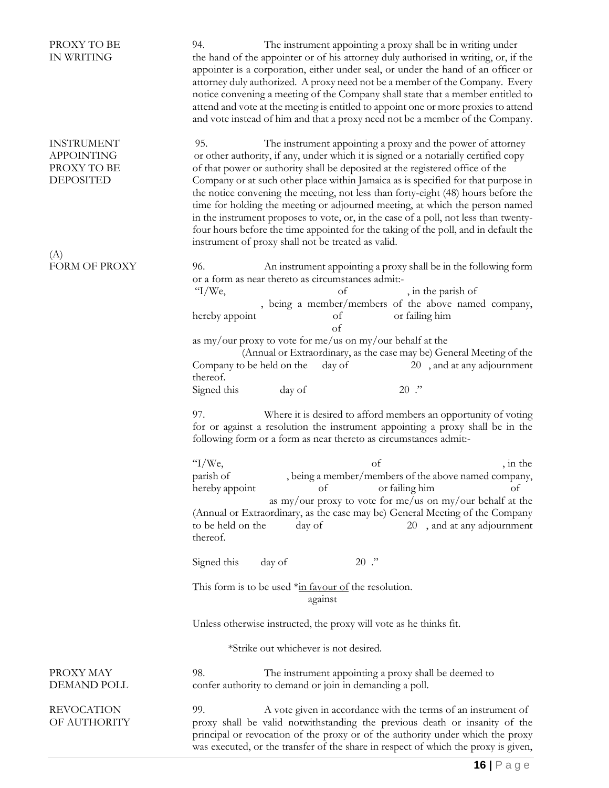| PROXY TO BE<br>IN WRITING                                                 | The instrument appointing a proxy shall be in writing under<br>94.<br>the hand of the appointer or of his attorney duly authorised in writing, or, if the<br>appointer is a corporation, either under seal, or under the hand of an officer or<br>attorney duly authorized. A proxy need not be a member of the Company. Every<br>notice convening a meeting of the Company shall state that a member entitled to<br>attend and vote at the meeting is entitled to appoint one or more proxies to attend<br>and vote instead of him and that a proxy need not be a member of the Company.                                                                                                                                                                                                                                                                                                                                                                                                                                                                                                                                                                                                                                                                                                                                                                                                             |
|---------------------------------------------------------------------------|-------------------------------------------------------------------------------------------------------------------------------------------------------------------------------------------------------------------------------------------------------------------------------------------------------------------------------------------------------------------------------------------------------------------------------------------------------------------------------------------------------------------------------------------------------------------------------------------------------------------------------------------------------------------------------------------------------------------------------------------------------------------------------------------------------------------------------------------------------------------------------------------------------------------------------------------------------------------------------------------------------------------------------------------------------------------------------------------------------------------------------------------------------------------------------------------------------------------------------------------------------------------------------------------------------------------------------------------------------------------------------------------------------|
| <b>INSTRUMENT</b><br><b>APPOINTING</b><br>PROXY TO BE<br><b>DEPOSITED</b> | 95.<br>The instrument appointing a proxy and the power of attorney<br>or other authority, if any, under which it is signed or a notarially certified copy<br>of that power or authority shall be deposited at the registered office of the<br>Company or at such other place within Jamaica as is specified for that purpose in<br>the notice convening the meeting, not less than forty-eight (48) hours before the<br>time for holding the meeting or adjourned meeting, at which the person named<br>in the instrument proposes to vote, or, in the case of a poll, not less than twenty-<br>four hours before the time appointed for the taking of the poll, and in default the<br>instrument of proxy shall not be treated as valid.                                                                                                                                                                                                                                                                                                                                                                                                                                                                                                                                                                                                                                                             |
| (A)<br>FORM OF PROXY                                                      | 96.<br>An instrument appointing a proxy shall be in the following form<br>or a form as near thereto as circumstances admit:-<br>$\mathrm{``I/We},$<br>of<br>, in the parish of<br>, being a member/members of the above named company,<br>or failing him<br>οf<br>hereby appoint<br>of<br>as my/our proxy to vote for me/us on my/our behalf at the<br>(Annual or Extraordinary, as the case may be) General Meeting of the<br>20, and at any adjournment<br>Company to be held on the<br>day of<br>thereof.<br>$20$ ."<br>Signed this<br>day of<br>97.<br>Where it is desired to afford members an opportunity of voting<br>for or against a resolution the instrument appointing a proxy shall be in the<br>following form or a form as near thereto as circumstances admit:-<br>$\mathrm{``I/We},$<br>, in the<br>of<br>parish of<br>, being a member/members of the above named company,<br>of<br>or failing him<br>of<br>hereby appoint<br>as my/our proxy to vote for me/us on my/our behalf at the<br>(Annual or Extraordinary, as the case may be) General Meeting of the Company<br>to be held on the<br>day of<br>20, and at any adjournment<br>thereof.<br>$20$ ."<br>Signed this<br>day of<br>This form is to be used $*_{\text{in}}$ favour of the resolution.<br>against<br>Unless otherwise instructed, the proxy will vote as he thinks fit.<br>*Strike out whichever is not desired. |
| PROXY MAY<br>DEMAND POLL                                                  | 98.<br>The instrument appointing a proxy shall be deemed to<br>confer authority to demand or join in demanding a poll.                                                                                                                                                                                                                                                                                                                                                                                                                                                                                                                                                                                                                                                                                                                                                                                                                                                                                                                                                                                                                                                                                                                                                                                                                                                                                |
| <b>REVOCATION</b><br>OF AUTHORITY                                         | 99.<br>A vote given in accordance with the terms of an instrument of<br>proxy shall be valid notwithstanding the previous death or insanity of the<br>principal or revocation of the proxy or of the authority under which the proxy<br>was executed, or the transfer of the share in respect of which the proxy is given,                                                                                                                                                                                                                                                                                                                                                                                                                                                                                                                                                                                                                                                                                                                                                                                                                                                                                                                                                                                                                                                                            |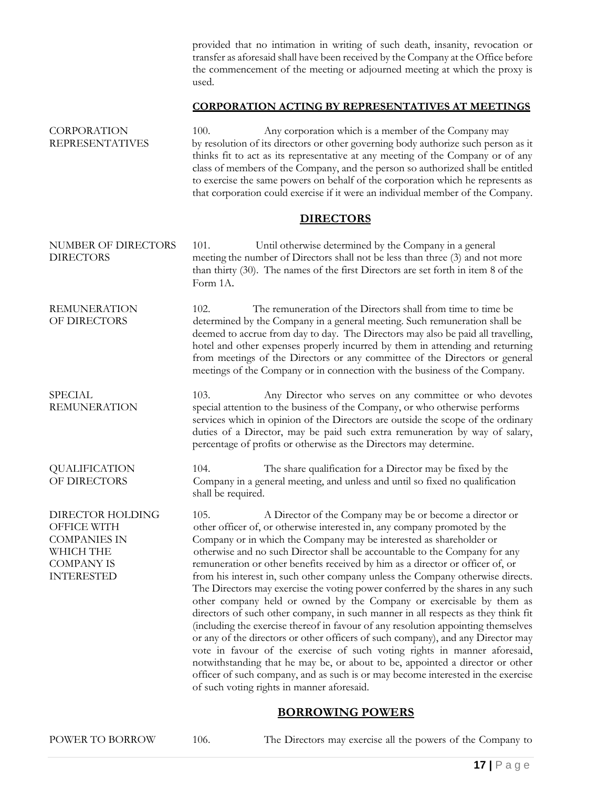provided that no intimation in writing of such death, insanity, revocation or transfer as aforesaid shall have been received by the Company at the Office before the commencement of the meeting or adjourned meeting at which the proxy is used.

#### **CORPORATION ACTING BY REPRESENTATIVES AT MEETINGS**

CORPORATION 100. Any corporation which is a member of the Company may REPRESENTATIVES by resolution of its directors or other governing body authorize such person as it thinks fit to act as its representative at any meeting of the Company or of any class of members of the Company, and the person so authorized shall be entitled to exercise the same powers on behalf of the corporation which he represents as that corporation could exercise if it were an individual member of the Company.

### **DIRECTORS**

| NUMBER OF DIRECTORS<br>DIRECTORS_ | Until otherwise determined by the Company in a general<br>101.<br>meeting the number of Directors shall not be less than three (3) and not more<br>than thirty $(30)$ . The names of the first Directors are set forth in item 8 of the<br>Form 1A. |
|-----------------------------------|-----------------------------------------------------------------------------------------------------------------------------------------------------------------------------------------------------------------------------------------------------|
|                                   |                                                                                                                                                                                                                                                     |

REMUNERATION 102. The remuneration of the Directors shall from time to time be OF DIRECTORS determined by the Company in a general meeting. Such remuneration shall be deemed to accrue from day to day. The Directors may also be paid all travelling, hotel and other expenses properly incurred by them in attending and returning from meetings of the Directors or any committee of the Directors or general meetings of the Company or in connection with the business of the Company.

SPECIAL 103. Any Director who serves on any committee or who devotes REMUNERATION special attention to the business of the Company, or who otherwise performs services which in opinion of the Directors are outside the scope of the ordinary duties of a Director, may be paid such extra remuneration by way of salary, percentage of profits or otherwise as the Directors may determine.

QUALIFICATION 104. The share qualification for a Director may be fixed by the OF DIRECTORS Company in a general meeting, and unless and until so fixed no qualification shall be required.

DIRECTOR HOLDING 105. A Director of the Company may be or become a director or OFFICE WITH other officer of, or otherwise interested in, any company promoted by the COMPANIES IN Company or in which the Company may be interested as shareholder or WHICH THE otherwise and no such Director shall be accountable to the Company for any COMPANY IS remuneration or other benefits received by him as a director or officer of, or INTERESTED from his interest in, such other company unless the Company otherwise directs. The Directors may exercise the voting power conferred by the shares in any such other company held or owned by the Company or exercisable by them as directors of such other company, in such manner in all respects as they think fit (including the exercise thereof in favour of any resolution appointing themselves or any of the directors or other officers of such company), and any Director may vote in favour of the exercise of such voting rights in manner aforesaid, notwithstanding that he may be, or about to be, appointed a director or other officer of such company, and as such is or may become interested in the exercise of such voting rights in manner aforesaid.

### **BORROWING POWERS**

POWER TO BORROW 106. The Directors may exercise all the powers of the Company to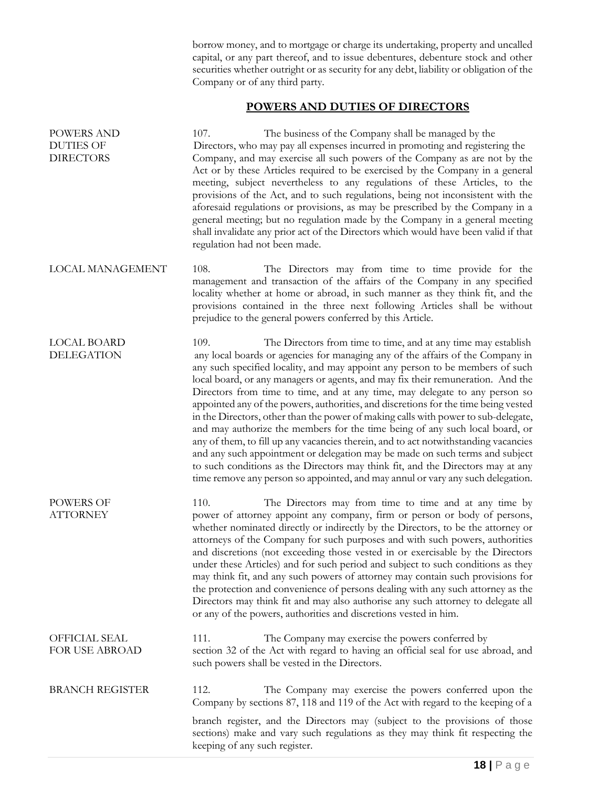borrow money, and to mortgage or charge its undertaking, property and uncalled capital, or any part thereof, and to issue debentures, debenture stock and other securities whether outright or as security for any debt, liability or obligation of the Company or of any third party.

# **POWERS AND DUTIES OF DIRECTORS**

| <b>POWERS AND</b><br><b>DUTIES OF</b><br><b>DIRECTORS</b> | 107.<br>The business of the Company shall be managed by the<br>Directors, who may pay all expenses incurred in promoting and registering the<br>Company, and may exercise all such powers of the Company as are not by the<br>Act or by these Articles required to be exercised by the Company in a general<br>meeting, subject nevertheless to any regulations of these Articles, to the<br>provisions of the Act, and to such regulations, being not inconsistent with the<br>aforesaid regulations or provisions, as may be prescribed by the Company in a<br>general meeting; but no regulation made by the Company in a general meeting<br>shall invalidate any prior act of the Directors which would have been valid if that<br>regulation had not been made.                                                                                                                                                                                                                                                  |
|-----------------------------------------------------------|-----------------------------------------------------------------------------------------------------------------------------------------------------------------------------------------------------------------------------------------------------------------------------------------------------------------------------------------------------------------------------------------------------------------------------------------------------------------------------------------------------------------------------------------------------------------------------------------------------------------------------------------------------------------------------------------------------------------------------------------------------------------------------------------------------------------------------------------------------------------------------------------------------------------------------------------------------------------------------------------------------------------------|
| <b>LOCAL MANAGEMENT</b>                                   | 108.<br>The Directors may from time to time provide for the<br>management and transaction of the affairs of the Company in any specified<br>locality whether at home or abroad, in such manner as they think fit, and the<br>provisions contained in the three next following Articles shall be without<br>prejudice to the general powers conferred by this Article.                                                                                                                                                                                                                                                                                                                                                                                                                                                                                                                                                                                                                                                 |
| <b>LOCAL BOARD</b><br><b>DELEGATION</b>                   | 109.<br>The Directors from time to time, and at any time may establish<br>any local boards or agencies for managing any of the affairs of the Company in<br>any such specified locality, and may appoint any person to be members of such<br>local board, or any managers or agents, and may fix their remuneration. And the<br>Directors from time to time, and at any time, may delegate to any person so<br>appointed any of the powers, authorities, and discretions for the time being vested<br>in the Directors, other than the power of making calls with power to sub-delegate,<br>and may authorize the members for the time being of any such local board, or<br>any of them, to fill up any vacancies therein, and to act notwithstanding vacancies<br>and any such appointment or delegation may be made on such terms and subject<br>to such conditions as the Directors may think fit, and the Directors may at any<br>time remove any person so appointed, and may annul or vary any such delegation. |
| <b>POWERS OF</b><br><b>ATTORNEY</b>                       | 110.<br>The Directors may from time to time and at any time by<br>power of attorney appoint any company, firm or person or body of persons,<br>whether nominated directly or indirectly by the Directors, to be the attorney or<br>attorneys of the Company for such purposes and with such powers, authorities<br>and discretions (not exceeding those vested in or exercisable by the Directors<br>under these Articles) and for such period and subject to such conditions as they<br>may think fit, and any such powers of attorney may contain such provisions for<br>the protection and convenience of persons dealing with any such attorney as the<br>Directors may think fit and may also authorise any such attorney to delegate all<br>or any of the powers, authorities and discretions vested in him.                                                                                                                                                                                                    |
| OFFICIAL SEAL<br>FOR USE ABROAD                           | 111.<br>The Company may exercise the powers conferred by<br>section 32 of the Act with regard to having an official seal for use abroad, and<br>such powers shall be vested in the Directors.                                                                                                                                                                                                                                                                                                                                                                                                                                                                                                                                                                                                                                                                                                                                                                                                                         |
| <b>BRANCH REGISTER</b>                                    | 112.<br>The Company may exercise the powers conferred upon the<br>Company by sections 87, 118 and 119 of the Act with regard to the keeping of a                                                                                                                                                                                                                                                                                                                                                                                                                                                                                                                                                                                                                                                                                                                                                                                                                                                                      |
|                                                           | branch register, and the Directors may (subject to the provisions of those<br>sections) make and vary such regulations as they may think fit respecting the<br>keeping of any such register.                                                                                                                                                                                                                                                                                                                                                                                                                                                                                                                                                                                                                                                                                                                                                                                                                          |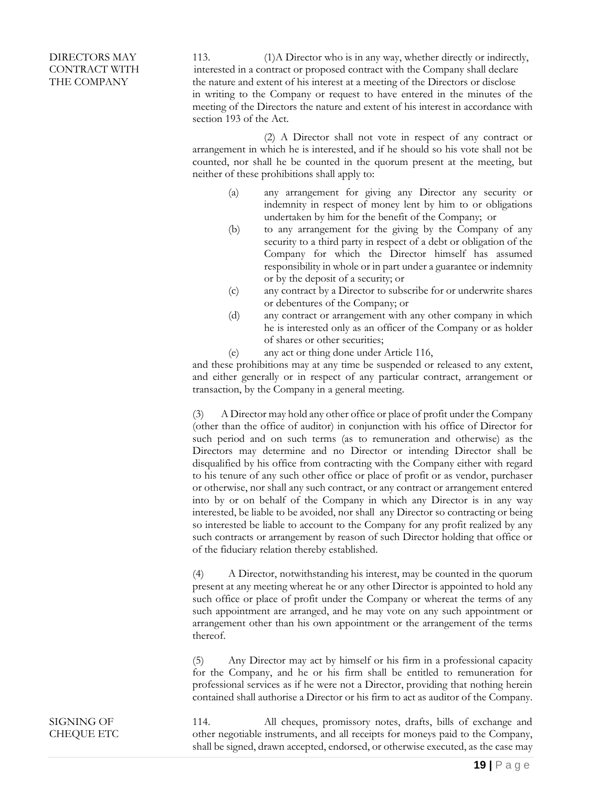DIRECTORS MAY 113. (1)A Director who is in any way, whether directly or indirectly, CONTRACT WITH interested in a contract or proposed contract with the Company shall declare THE COMPANY the nature and extent of his interest at a meeting of the Directors or disclose in writing to the Company or request to have entered in the minutes of the meeting of the Directors the nature and extent of his interest in accordance with section 193 of the Act.

> (2) A Director shall not vote in respect of any contract or arrangement in which he is interested, and if he should so his vote shall not be counted, nor shall he be counted in the quorum present at the meeting, but neither of these prohibitions shall apply to:

- (a) any arrangement for giving any Director any security or indemnity in respect of money lent by him to or obligations undertaken by him for the benefit of the Company; or
- (b) to any arrangement for the giving by the Company of any security to a third party in respect of a debt or obligation of the Company for which the Director himself has assumed responsibility in whole or in part under a guarantee or indemnity or by the deposit of a security; or
- (c) any contract by a Director to subscribe for or underwrite shares or debentures of the Company; or
- (d) any contract or arrangement with any other company in which he is interested only as an officer of the Company or as holder of shares or other securities;
- (e) any act or thing done under Article 116,

and these prohibitions may at any time be suspended or released to any extent, and either generally or in respect of any particular contract, arrangement or transaction, by the Company in a general meeting.

(3) A Director may hold any other office or place of profit under the Company (other than the office of auditor) in conjunction with his office of Director for such period and on such terms (as to remuneration and otherwise) as the Directors may determine and no Director or intending Director shall be disqualified by his office from contracting with the Company either with regard to his tenure of any such other office or place of profit or as vendor, purchaser or otherwise, nor shall any such contract, or any contract or arrangement entered into by or on behalf of the Company in which any Director is in any way interested, be liable to be avoided, nor shall any Director so contracting or being so interested be liable to account to the Company for any profit realized by any such contracts or arrangement by reason of such Director holding that office or of the fiduciary relation thereby established.

(4) A Director, notwithstanding his interest, may be counted in the quorum present at any meeting whereat he or any other Director is appointed to hold any such office or place of profit under the Company or whereat the terms of any such appointment are arranged, and he may vote on any such appointment or arrangement other than his own appointment or the arrangement of the terms thereof.

(5) Any Director may act by himself or his firm in a professional capacity for the Company, and he or his firm shall be entitled to remuneration for professional services as if he were not a Director, providing that nothing herein contained shall authorise a Director or his firm to act as auditor of the Company.

SIGNING OF 114. All cheques, promissory notes, drafts, bills of exchange and CHEQUE ETC other negotiable instruments, and all receipts for moneys paid to the Company, shall be signed, drawn accepted, endorsed, or otherwise executed, as the case may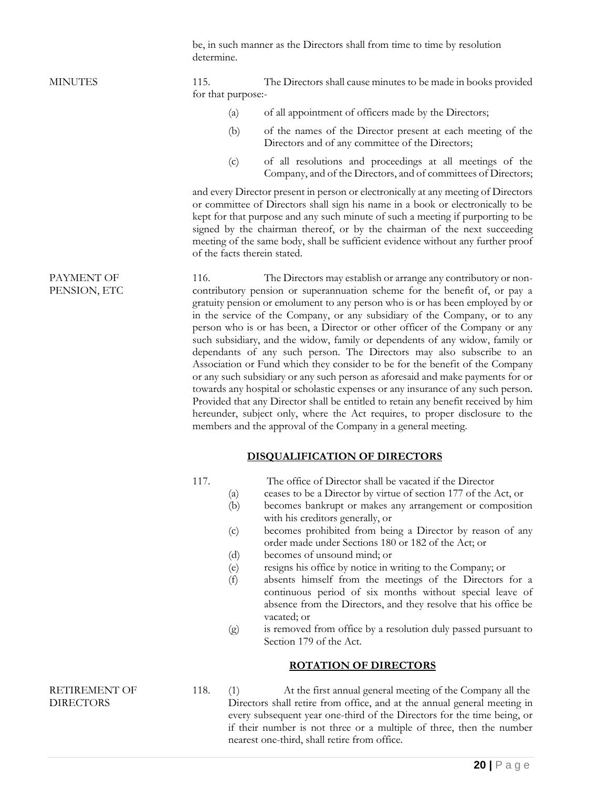be, in such manner as the Directors shall from time to time by resolution determine.

MINUTES 115. The Directors shall cause minutes to be made in books provided for that purpose:-

- (a) of all appointment of officers made by the Directors;
- (b) of the names of the Director present at each meeting of the Directors and of any committee of the Directors;
- (c) of all resolutions and proceedings at all meetings of the Company, and of the Directors, and of committees of Directors;

and every Director present in person or electronically at any meeting of Directors or committee of Directors shall sign his name in a book or electronically to be kept for that purpose and any such minute of such a meeting if purporting to be signed by the chairman thereof, or by the chairman of the next succeeding meeting of the same body, shall be sufficient evidence without any further proof of the facts therein stated.

PAYMENT OF 116. The Directors may establish or arrange any contributory or non-PENSION, ETC contributory pension or superannuation scheme for the benefit of, or pay a gratuity pension or emolument to any person who is or has been employed by or in the service of the Company, or any subsidiary of the Company, or to any person who is or has been, a Director or other officer of the Company or any such subsidiary, and the widow, family or dependents of any widow, family or dependants of any such person. The Directors may also subscribe to an Association or Fund which they consider to be for the benefit of the Company or any such subsidiary or any such person as aforesaid and make payments for or towards any hospital or scholastic expenses or any insurance of any such person. Provided that any Director shall be entitled to retain any benefit received by him hereunder, subject only, where the Act requires, to proper disclosure to the members and the approval of the Company in a general meeting.

#### **DISQUALIFICATION OF DIRECTORS**

- 117. The office of Director shall be vacated if the Director
	- (a) ceases to be a Director by virtue of section 177 of the Act, or
	- (b) becomes bankrupt or makes any arrangement or composition with his creditors generally, or
	- (c) becomes prohibited from being a Director by reason of any order made under Sections 180 or 182 of the Act; or
	- (d) becomes of unsound mind; or
	- (e) resigns his office by notice in writing to the Company; or
	- (f) absents himself from the meetings of the Directors for a continuous period of six months without special leave of absence from the Directors, and they resolve that his office be vacated; or
	- (g) is removed from office by a resolution duly passed pursuant to Section 179 of the Act.

#### **ROTATION OF DIRECTORS**

RETIREMENT OF 118. (1) At the first annual general meeting of the Company all the DIRECTORS Directors shall retire from office, and at the annual general meeting in every subsequent year one-third of the Directors for the time being, or if their number is not three or a multiple of three, then the number nearest one-third, shall retire from office.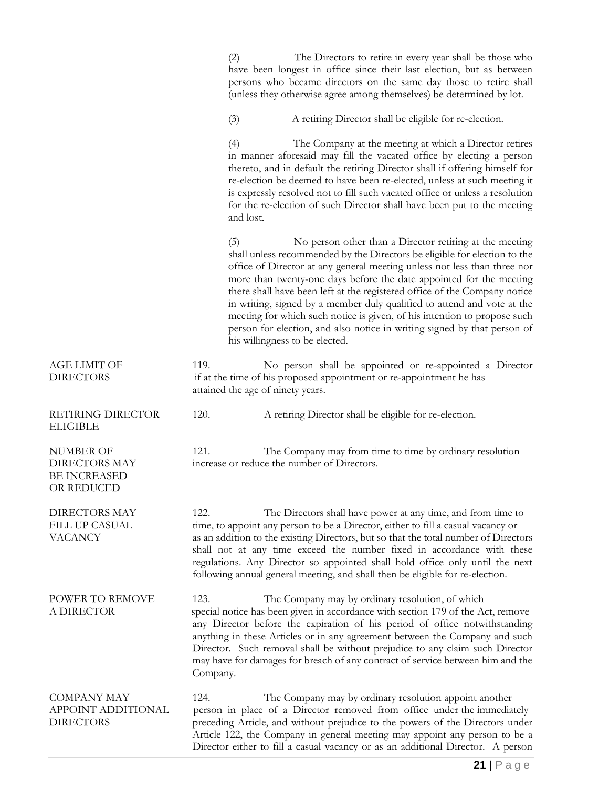(2) The Directors to retire in every year shall be those who have been longest in office since their last election, but as between persons who became directors on the same day those to retire shall (unless they otherwise agree among themselves) be determined by lot.

(3) A retiring Director shall be eligible for re-election.

(4) The Company at the meeting at which a Director retires in manner aforesaid may fill the vacated office by electing a person thereto, and in default the retiring Director shall if offering himself for re-election be deemed to have been re-elected, unless at such meeting it is expressly resolved not to fill such vacated office or unless a resolution for the re-election of such Director shall have been put to the meeting and lost.

(5) No person other than a Director retiring at the meeting shall unless recommended by the Directors be eligible for election to the office of Director at any general meeting unless not less than three nor more than twenty-one days before the date appointed for the meeting there shall have been left at the registered office of the Company notice in writing, signed by a member duly qualified to attend and vote at the meeting for which such notice is given, of his intention to propose such person for election, and also notice in writing signed by that person of his willingness to be elected.

| AGE LIMIT OF     | 119.                                                                |  |  | No person shall be appointed or re-appointed a Director |  |
|------------------|---------------------------------------------------------------------|--|--|---------------------------------------------------------|--|
| <b>DIRECTORS</b> | if at the time of his proposed appointment or re-appointment he has |  |  |                                                         |  |
|                  | attained the age of ninety years.                                   |  |  |                                                         |  |

RETIRING DIRECTOR 120. A retiring Director shall be eligible for re-election. **ELIGIBLE** 

BE INCREASED OR REDUCED

NUMBER OF 121. The Company may from time to time by ordinary resolution DIRECTORS MAY increase or reduce the number of Directors.

DIRECTORS MAY 122. The Directors shall have power at any time, and from time to FILL UP CASUAL time, to appoint any person to be a Director, either to fill a casual vacancy or VACANCY as an addition to the existing Directors, but so that the total number of Directors shall not at any time exceed the number fixed in accordance with these regulations. Any Director so appointed shall hold office only until the next following annual general meeting, and shall then be eligible for re-election.

POWER TO REMOVE 123. The Company may by ordinary resolution, of which A DIRECTOR special notice has been given in accordance with section 179 of the Act, remove any Director before the expiration of his period of office notwithstanding anything in these Articles or in any agreement between the Company and such Director. Such removal shall be without prejudice to any claim such Director may have for damages for breach of any contract of service between him and the Company.

COMPANY MAY 124. The Company may by ordinary resolution appoint another APPOINT ADDITIONAL person in place of a Director removed from office under the immediately DIRECTORS preceding Article, and without prejudice to the powers of the Directors under Article 122, the Company in general meeting may appoint any person to be a Director either to fill a casual vacancy or as an additional Director. A person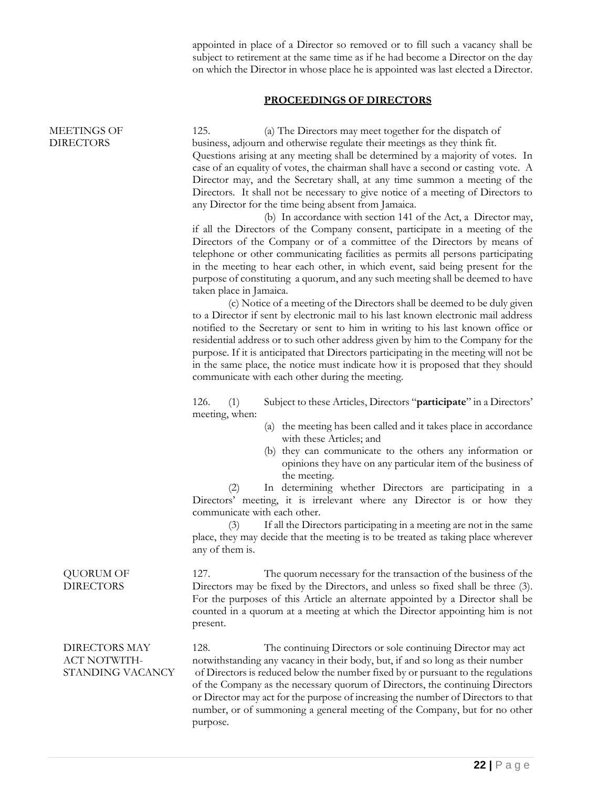appointed in place of a Director so removed or to fill such a vacancy shall be subject to retirement at the same time as if he had become a Director on the day on which the Director in whose place he is appointed was last elected a Director.

#### **PROCEEDINGS OF DIRECTORS**

MEETINGS OF 125. (a) The Directors may meet together for the dispatch of DIRECTORS business, adjourn and otherwise regulate their meetings as they think fit. Questions arising at any meeting shall be determined by a majority of votes. In case of an equality of votes, the chairman shall have a second or casting vote. A Director may, and the Secretary shall, at any time summon a meeting of the Directors. It shall not be necessary to give notice of a meeting of Directors to any Director for the time being absent from Jamaica. (b) In accordance with section 141 of the Act, a Director may, if all the Directors of the Company consent, participate in a meeting of the Directors of the Company or of a committee of the Directors by means of telephone or other communicating facilities as permits all persons participating in the meeting to hear each other, in which event, said being present for the purpose of constituting a quorum, and any such meeting shall be deemed to have taken place in Jamaica. (c) Notice of a meeting of the Directors shall be deemed to be duly given to a Director if sent by electronic mail to his last known electronic mail address notified to the Secretary or sent to him in writing to his last known office or residential address or to such other address given by him to the Company for the purpose. If it is anticipated that Directors participating in the meeting will not be in the same place, the notice must indicate how it is proposed that they should communicate with each other during the meeting. 126. (1) Subject to these Articles, Directors "**participate**" in a Directors' meeting, when: (a) the meeting has been called and it takes place in accordance with these Articles; and (b) they can communicate to the others any information or opinions they have on any particular item of the business of the meeting. (2) In determining whether Directors are participating in a Directors' meeting, it is irrelevant where any Director is or how they communicate with each other. (3) If all the Directors participating in a meeting are not in the same place, they may decide that the meeting is to be treated as taking place wherever any of them is. QUORUM OF 127. The quorum necessary for the transaction of the business of the DIRECTORS Directors may be fixed by the Directors, and unless so fixed shall be three (3). For the purposes of this Article an alternate appointed by a Director shall be counted in a quorum at a meeting at which the Director appointing him is not present. DIRECTORS MAY 128. The continuing Directors or sole continuing Director may act ACT NOTWITH- notwithstanding any vacancy in their body, but, if and so long as their number STANDING VACANCY of Directors is reduced below the number fixed by or pursuant to the regulations of the Company as the necessary quorum of Directors, the continuing Directors or Director may act for the purpose of increasing the number of Directors to that number, or of summoning a general meeting of the Company, but for no other purpose.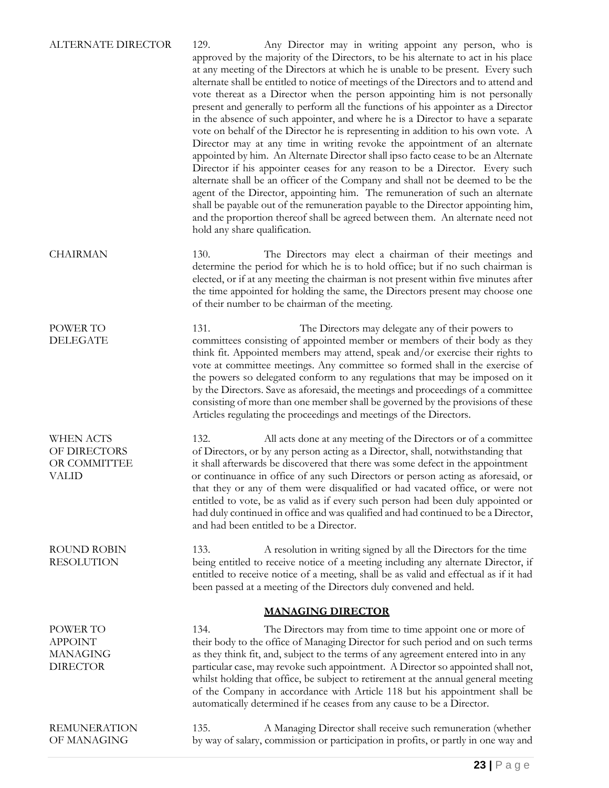| ALTERNATE DIRECTOR                                               | 129.<br>Any Director may in writing appoint any person, who is<br>approved by the majority of the Directors, to be his alternate to act in his place<br>at any meeting of the Directors at which he is unable to be present. Every such<br>alternate shall be entitled to notice of meetings of the Directors and to attend and<br>vote thereat as a Director when the person appointing him is not personally<br>present and generally to perform all the functions of his appointer as a Director<br>in the absence of such appointer, and where he is a Director to have a separate<br>vote on behalf of the Director he is representing in addition to his own vote. A<br>Director may at any time in writing revoke the appointment of an alternate<br>appointed by him. An Alternate Director shall ipso facto cease to be an Alternate<br>Director if his appointer ceases for any reason to be a Director. Every such<br>alternate shall be an officer of the Company and shall not be deemed to be the<br>agent of the Director, appointing him. The remuneration of such an alternate<br>shall be payable out of the remuneration payable to the Director appointing him,<br>and the proportion thereof shall be agreed between them. An alternate need not<br>hold any share qualification. |  |  |  |  |
|------------------------------------------------------------------|--------------------------------------------------------------------------------------------------------------------------------------------------------------------------------------------------------------------------------------------------------------------------------------------------------------------------------------------------------------------------------------------------------------------------------------------------------------------------------------------------------------------------------------------------------------------------------------------------------------------------------------------------------------------------------------------------------------------------------------------------------------------------------------------------------------------------------------------------------------------------------------------------------------------------------------------------------------------------------------------------------------------------------------------------------------------------------------------------------------------------------------------------------------------------------------------------------------------------------------------------------------------------------------------------------|--|--|--|--|
| <b>CHAIRMAN</b>                                                  | 130.<br>The Directors may elect a chairman of their meetings and<br>determine the period for which he is to hold office; but if no such chairman is<br>elected, or if at any meeting the chairman is not present within five minutes after<br>the time appointed for holding the same, the Directors present may choose one<br>of their number to be chairman of the meeting.                                                                                                                                                                                                                                                                                                                                                                                                                                                                                                                                                                                                                                                                                                                                                                                                                                                                                                                          |  |  |  |  |
| POWER TO<br><b>DELEGATE</b>                                      | 131.<br>The Directors may delegate any of their powers to<br>committees consisting of appointed member or members of their body as they<br>think fit. Appointed members may attend, speak and/or exercise their rights to<br>vote at committee meetings. Any committee so formed shall in the exercise of<br>the powers so delegated conform to any regulations that may be imposed on it<br>by the Directors. Save as aforesaid, the meetings and proceedings of a committee<br>consisting of more than one member shall be governed by the provisions of these<br>Articles regulating the proceedings and meetings of the Directors.                                                                                                                                                                                                                                                                                                                                                                                                                                                                                                                                                                                                                                                                 |  |  |  |  |
| WHEN ACTS<br>OF DIRECTORS<br>OR COMMITTEE<br><b>VALID</b>        | 132.<br>All acts done at any meeting of the Directors or of a committee<br>of Directors, or by any person acting as a Director, shall, notwithstanding that<br>it shall afterwards be discovered that there was some defect in the appointment<br>or continuance in office of any such Directors or person acting as aforesaid, or<br>that they or any of them were disqualified or had vacated office, or were not<br>entitled to vote, be as valid as if every such person had been duly appointed or<br>had duly continued in office and was qualified and had continued to be a Director,<br>and had been entitled to be a Director.                                                                                                                                                                                                                                                                                                                                                                                                                                                                                                                                                                                                                                                               |  |  |  |  |
| <b>ROUND ROBIN</b><br><b>RESOLUTION</b>                          | 133.<br>A resolution in writing signed by all the Directors for the time<br>being entitled to receive notice of a meeting including any alternate Director, if<br>entitled to receive notice of a meeting, shall be as valid and effectual as if it had<br>been passed at a meeting of the Directors duly convened and held.                                                                                                                                                                                                                                                                                                                                                                                                                                                                                                                                                                                                                                                                                                                                                                                                                                                                                                                                                                           |  |  |  |  |
|                                                                  | <b>MANAGING DIRECTOR</b>                                                                                                                                                                                                                                                                                                                                                                                                                                                                                                                                                                                                                                                                                                                                                                                                                                                                                                                                                                                                                                                                                                                                                                                                                                                                               |  |  |  |  |
| POWER TO<br><b>APPOINT</b><br><b>MANAGING</b><br><b>DIRECTOR</b> | The Directors may from time to time appoint one or more of<br>134.<br>their body to the office of Managing Director for such period and on such terms<br>as they think fit, and, subject to the terms of any agreement entered into in any<br>particular case, may revoke such appointment. A Director so appointed shall not,<br>whilst holding that office, be subject to retirement at the annual general meeting<br>of the Company in accordance with Article 118 but his appointment shall be<br>automatically determined if he ceases from any cause to be a Director.                                                                                                                                                                                                                                                                                                                                                                                                                                                                                                                                                                                                                                                                                                                           |  |  |  |  |
| <b>REMUNERATION</b><br>OF MANAGING                               | 135.<br>A Managing Director shall receive such remuneration (whether<br>by way of salary, commission or participation in profits, or partly in one way and                                                                                                                                                                                                                                                                                                                                                                                                                                                                                                                                                                                                                                                                                                                                                                                                                                                                                                                                                                                                                                                                                                                                             |  |  |  |  |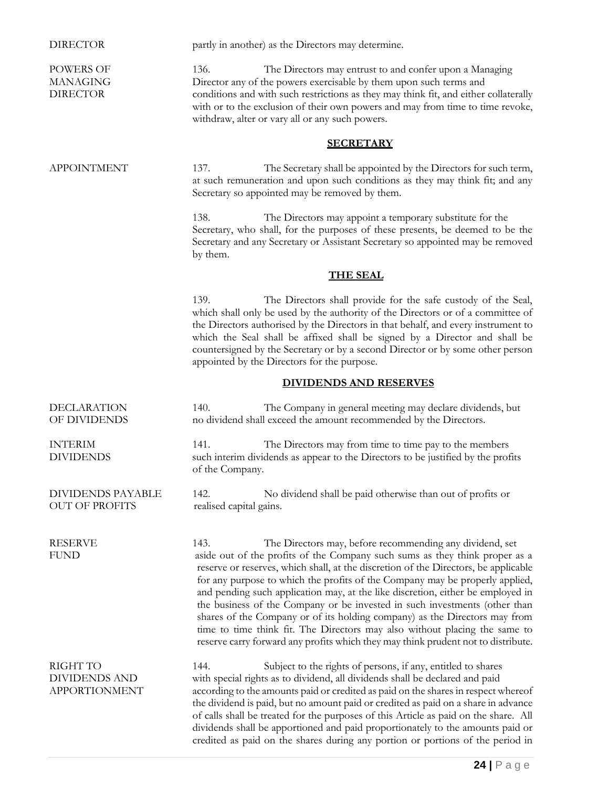| <b>DIRECTOR</b>                                                 | partly in another) as the Directors may determine.                                                                                                                                                                                                                                                                                                                                                                                                                                                                                                                                                                                                                                                                                       |
|-----------------------------------------------------------------|------------------------------------------------------------------------------------------------------------------------------------------------------------------------------------------------------------------------------------------------------------------------------------------------------------------------------------------------------------------------------------------------------------------------------------------------------------------------------------------------------------------------------------------------------------------------------------------------------------------------------------------------------------------------------------------------------------------------------------------|
| <b>POWERS OF</b><br><b>MANAGING</b><br><b>DIRECTOR</b>          | 136.<br>The Directors may entrust to and confer upon a Managing<br>Director any of the powers exercisable by them upon such terms and<br>conditions and with such restrictions as they may think fit, and either collaterally<br>with or to the exclusion of their own powers and may from time to time revoke,<br>withdraw, alter or vary all or any such powers.                                                                                                                                                                                                                                                                                                                                                                       |
|                                                                 | <b>SECRETARY</b>                                                                                                                                                                                                                                                                                                                                                                                                                                                                                                                                                                                                                                                                                                                         |
| <b>APPOINTMENT</b>                                              | 137.<br>The Secretary shall be appointed by the Directors for such term,<br>at such remuneration and upon such conditions as they may think fit; and any<br>Secretary so appointed may be removed by them.                                                                                                                                                                                                                                                                                                                                                                                                                                                                                                                               |
|                                                                 | 138.<br>The Directors may appoint a temporary substitute for the<br>Secretary, who shall, for the purposes of these presents, be deemed to be the<br>Secretary and any Secretary or Assistant Secretary so appointed may be removed<br>by them.                                                                                                                                                                                                                                                                                                                                                                                                                                                                                          |
|                                                                 | <b>THE SEAL</b>                                                                                                                                                                                                                                                                                                                                                                                                                                                                                                                                                                                                                                                                                                                          |
|                                                                 | 139.<br>The Directors shall provide for the safe custody of the Seal,<br>which shall only be used by the authority of the Directors or of a committee of<br>the Directors authorised by the Directors in that behalf, and every instrument to<br>which the Seal shall be affixed shall be signed by a Director and shall be<br>countersigned by the Secretary or by a second Director or by some other person<br>appointed by the Directors for the purpose.                                                                                                                                                                                                                                                                             |
|                                                                 | <b>DIVIDENDS AND RESERVES</b>                                                                                                                                                                                                                                                                                                                                                                                                                                                                                                                                                                                                                                                                                                            |
| <b>DECLARATION</b><br>OF DIVIDENDS                              | 140.<br>The Company in general meeting may declare dividends, but<br>no dividend shall exceed the amount recommended by the Directors.                                                                                                                                                                                                                                                                                                                                                                                                                                                                                                                                                                                                   |
| <b>INTERIM</b><br><b>DIVIDENDS</b>                              | 141.<br>The Directors may from time to time pay to the members<br>such interim dividends as appear to the Directors to be justified by the profits<br>of the Company.                                                                                                                                                                                                                                                                                                                                                                                                                                                                                                                                                                    |
| <b>DIVIDENDS PAYABLE</b><br><b>OUT OF PROFITS</b>               | No dividend shall be paid otherwise than out of profits or<br>142.<br>realised capital gains.                                                                                                                                                                                                                                                                                                                                                                                                                                                                                                                                                                                                                                            |
| <b>RESERVE</b><br><b>FUND</b>                                   | The Directors may, before recommending any dividend, set<br>143.<br>aside out of the profits of the Company such sums as they think proper as a<br>reserve or reserves, which shall, at the discretion of the Directors, be applicable<br>for any purpose to which the profits of the Company may be properly applied,<br>and pending such application may, at the like discretion, either be employed in<br>the business of the Company or be invested in such investments (other than<br>shares of the Company or of its holding company) as the Directors may from<br>time to time think fit. The Directors may also without placing the same to<br>reserve carry forward any profits which they may think prudent not to distribute. |
| <b>RIGHT TO</b><br><b>DIVIDENDS AND</b><br><b>APPORTIONMENT</b> | 144.<br>Subject to the rights of persons, if any, entitled to shares<br>with special rights as to dividend, all dividends shall be declared and paid<br>according to the amounts paid or credited as paid on the shares in respect whereof<br>the dividend is paid, but no amount paid or credited as paid on a share in advance<br>of calls shall be treated for the purposes of this Article as paid on the share. All<br>dividends shall be apportioned and paid proportionately to the amounts paid or<br>credited as paid on the shares during any portion or portions of the period in                                                                                                                                             |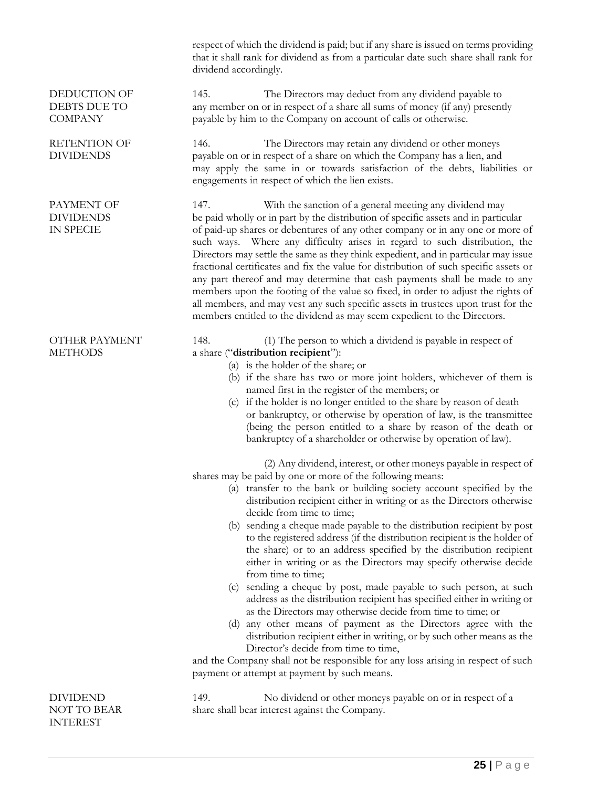respect of which the dividend is paid; but if any share is issued on terms providing that it shall rank for dividend as from a particular date such share shall rank for dividend accordingly.

DEDUCTION OF 145. The Directors may deduct from any dividend payable to DEBTS DUE TO any member on or in respect of a share all sums of money (if any) presently COMPANY payable by him to the Company on account of calls or otherwise.

RETENTION OF 146. The Directors may retain any dividend or other moneys DIVIDENDS payable on or in respect of a share on which the Company has a lien, and may apply the same in or towards satisfaction of the debts, liabilities or engagements in respect of which the lien exists.

PAYMENT OF 147. With the sanction of a general meeting any dividend may DIVIDENDS be paid wholly or in part by the distribution of specific assets and in particular IN SPECIE of paid-up shares or debentures of any other company or in any one or more of such ways. Where any difficulty arises in regard to such distribution, the Directors may settle the same as they think expedient, and in particular may issue fractional certificates and fix the value for distribution of such specific assets or any part thereof and may determine that cash payments shall be made to any members upon the footing of the value so fixed, in order to adjust the rights of all members, and may vest any such specific assets in trustees upon trust for the members entitled to the dividend as may seem expedient to the Directors.

OTHER PAYMENT 148. (1) The person to which a dividend is payable in respect of METHODS a share ("**distribution recipient**"):

- (a) is the holder of the share; or
- (b) if the share has two or more joint holders, whichever of them is named first in the register of the members; or
- (c) if the holder is no longer entitled to the share by reason of death or bankruptcy, or otherwise by operation of law, is the transmittee (being the person entitled to a share by reason of the death or bankruptcy of a shareholder or otherwise by operation of law).

(2) Any dividend, interest, or other moneys payable in respect of shares may be paid by one or more of the following means:

- (a) transfer to the bank or building society account specified by the distribution recipient either in writing or as the Directors otherwise decide from time to time;
- (b) sending a cheque made payable to the distribution recipient by post to the registered address (if the distribution recipient is the holder of the share) or to an address specified by the distribution recipient either in writing or as the Directors may specify otherwise decide from time to time;
- (c) sending a cheque by post, made payable to such person, at such address as the distribution recipient has specified either in writing or as the Directors may otherwise decide from time to time; or
- (d) any other means of payment as the Directors agree with the distribution recipient either in writing, or by such other means as the Director's decide from time to time,

and the Company shall not be responsible for any loss arising in respect of such payment or attempt at payment by such means.

DIVIDEND 149. No dividend or other moneys payable on or in respect of a NOT TO BEAR share shall bear interest against the Company.

INTEREST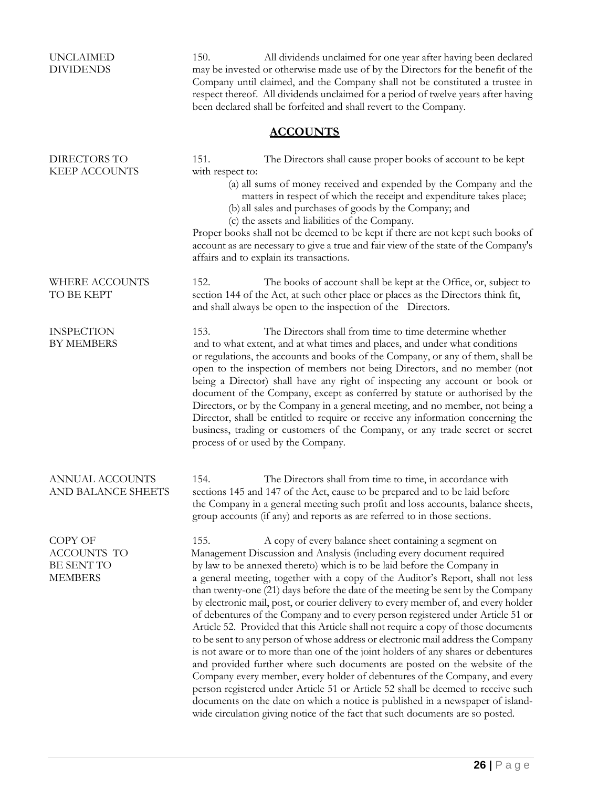| <b>UNCLAIMED</b><br><b>DIVIDENDS</b>                                        | 150.<br>All dividends unclaimed for one year after having been declared<br>may be invested or otherwise made use of by the Directors for the benefit of the<br>Company until claimed, and the Company shall not be constituted a trustee in<br>respect thereof. All dividends unclaimed for a period of twelve years after having<br>been declared shall be forfeited and shall revert to the Company.                                                                                                                                                                                                                                                                                                                                                                                                                                                                                                                                                                                                                                                                                                                                                                                                                                             |
|-----------------------------------------------------------------------------|----------------------------------------------------------------------------------------------------------------------------------------------------------------------------------------------------------------------------------------------------------------------------------------------------------------------------------------------------------------------------------------------------------------------------------------------------------------------------------------------------------------------------------------------------------------------------------------------------------------------------------------------------------------------------------------------------------------------------------------------------------------------------------------------------------------------------------------------------------------------------------------------------------------------------------------------------------------------------------------------------------------------------------------------------------------------------------------------------------------------------------------------------------------------------------------------------------------------------------------------------|
|                                                                             | <b>ACCOUNTS</b>                                                                                                                                                                                                                                                                                                                                                                                                                                                                                                                                                                                                                                                                                                                                                                                                                                                                                                                                                                                                                                                                                                                                                                                                                                    |
| DIRECTORS TO<br><b>KEEP ACCOUNTS</b>                                        | 151.<br>The Directors shall cause proper books of account to be kept<br>with respect to:<br>(a) all sums of money received and expended by the Company and the<br>matters in respect of which the receipt and expenditure takes place;<br>(b) all sales and purchases of goods by the Company; and<br>(c) the assets and liabilities of the Company.<br>Proper books shall not be deemed to be kept if there are not kept such books of<br>account as are necessary to give a true and fair view of the state of the Company's<br>affairs and to explain its transactions.                                                                                                                                                                                                                                                                                                                                                                                                                                                                                                                                                                                                                                                                         |
| <b>WHERE ACCOUNTS</b><br>TO BE KEPT                                         | The books of account shall be kept at the Office, or, subject to<br>152.<br>section 144 of the Act, at such other place or places as the Directors think fit,<br>and shall always be open to the inspection of the Directors.                                                                                                                                                                                                                                                                                                                                                                                                                                                                                                                                                                                                                                                                                                                                                                                                                                                                                                                                                                                                                      |
| <b>INSPECTION</b><br><b>BY MEMBERS</b>                                      | The Directors shall from time to time determine whether<br>153.<br>and to what extent, and at what times and places, and under what conditions<br>or regulations, the accounts and books of the Company, or any of them, shall be<br>open to the inspection of members not being Directors, and no member (not<br>being a Director) shall have any right of inspecting any account or book or<br>document of the Company, except as conferred by statute or authorised by the<br>Directors, or by the Company in a general meeting, and no member, not being a<br>Director, shall be entitled to require or receive any information concerning the<br>business, trading or customers of the Company, or any trade secret or secret<br>process of or used by the Company.                                                                                                                                                                                                                                                                                                                                                                                                                                                                           |
| <b>ANNUAL ACCOUNTS</b><br>AND BALANCE SHEETS                                | 154.<br>The Directors shall from time to time, in accordance with<br>sections 145 and 147 of the Act, cause to be prepared and to be laid before<br>the Company in a general meeting such profit and loss accounts, balance sheets,<br>group accounts (if any) and reports as are referred to in those sections.                                                                                                                                                                                                                                                                                                                                                                                                                                                                                                                                                                                                                                                                                                                                                                                                                                                                                                                                   |
| <b>COPY OF</b><br><b>ACCOUNTS TO</b><br><b>BE SENT TO</b><br><b>MEMBERS</b> | 155.<br>A copy of every balance sheet containing a segment on<br>Management Discussion and Analysis (including every document required<br>by law to be annexed thereto) which is to be laid before the Company in<br>a general meeting, together with a copy of the Auditor's Report, shall not less<br>than twenty-one (21) days before the date of the meeting be sent by the Company<br>by electronic mail, post, or courier delivery to every member of, and every holder<br>of debentures of the Company and to every person registered under Article 51 or<br>Article 52. Provided that this Article shall not require a copy of those documents<br>to be sent to any person of whose address or electronic mail address the Company<br>is not aware or to more than one of the joint holders of any shares or debentures<br>and provided further where such documents are posted on the website of the<br>Company every member, every holder of debentures of the Company, and every<br>person registered under Article 51 or Article 52 shall be deemed to receive such<br>documents on the date on which a notice is published in a newspaper of island-<br>wide circulation giving notice of the fact that such documents are so posted. |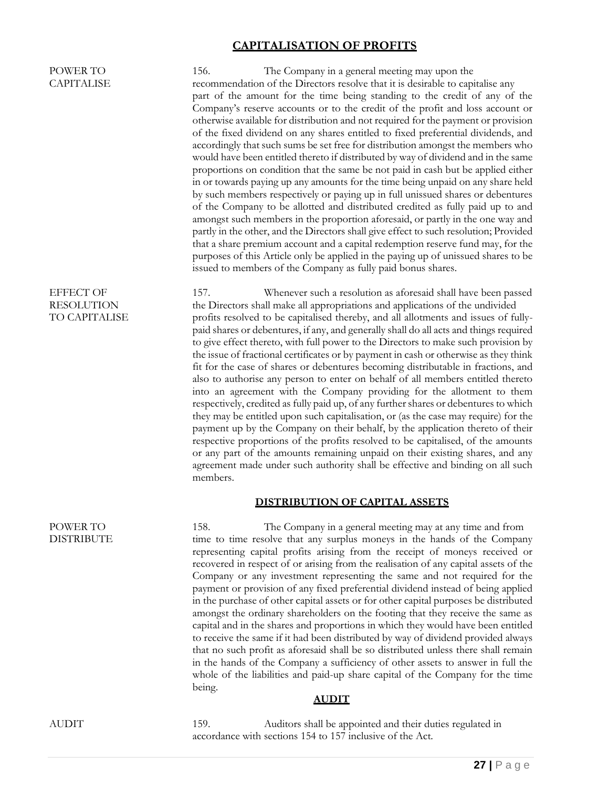# **CAPITALISATION OF PROFITS**

POWER TO 156. The Company in a general meeting may upon the CAPITALISE recommendation of the Directors resolve that it is desirable to capitalise any part of the amount for the time being standing to the credit of any of the Company's reserve accounts or to the credit of the profit and loss account or otherwise available for distribution and not required for the payment or provision of the fixed dividend on any shares entitled to fixed preferential dividends, and accordingly that such sums be set free for distribution amongst the members who would have been entitled thereto if distributed by way of dividend and in the same proportions on condition that the same be not paid in cash but be applied either in or towards paying up any amounts for the time being unpaid on any share held by such members respectively or paying up in full unissued shares or debentures of the Company to be allotted and distributed credited as fully paid up to and amongst such members in the proportion aforesaid, or partly in the one way and partly in the other, and the Directors shall give effect to such resolution; Provided that a share premium account and a capital redemption reserve fund may, for the purposes of this Article only be applied in the paying up of unissued shares to be issued to members of the Company as fully paid bonus shares.

EFFECT OF 157. Whenever such a resolution as aforesaid shall have been passed RESOLUTION the Directors shall make all appropriations and applications of the undivided TO CAPITALISE profits resolved to be capitalised thereby, and all allotments and issues of fullypaid shares or debentures, if any, and generally shall do all acts and things required to give effect thereto, with full power to the Directors to make such provision by the issue of fractional certificates or by payment in cash or otherwise as they think fit for the case of shares or debentures becoming distributable in fractions, and also to authorise any person to enter on behalf of all members entitled thereto into an agreement with the Company providing for the allotment to them respectively, credited as fully paid up, of any further shares or debentures to which they may be entitled upon such capitalisation, or (as the case may require) for the payment up by the Company on their behalf, by the application thereto of their respective proportions of the profits resolved to be capitalised, of the amounts or any part of the amounts remaining unpaid on their existing shares, and any agreement made under such authority shall be effective and binding on all such members.

#### **DISTRIBUTION OF CAPITAL ASSETS**

POWER TO 158. The Company in a general meeting may at any time and from DISTRIBUTE time to time resolve that any surplus moneys in the hands of the Company representing capital profits arising from the receipt of moneys received or recovered in respect of or arising from the realisation of any capital assets of the Company or any investment representing the same and not required for the payment or provision of any fixed preferential dividend instead of being applied in the purchase of other capital assets or for other capital purposes be distributed amongst the ordinary shareholders on the footing that they receive the same as capital and in the shares and proportions in which they would have been entitled to receive the same if it had been distributed by way of dividend provided always that no such profit as aforesaid shall be so distributed unless there shall remain in the hands of the Company a sufficiency of other assets to answer in full the whole of the liabilities and paid-up share capital of the Company for the time being.

#### **AUDIT**

AUDIT 159. Auditors shall be appointed and their duties regulated in accordance with sections 154 to 157 inclusive of the Act.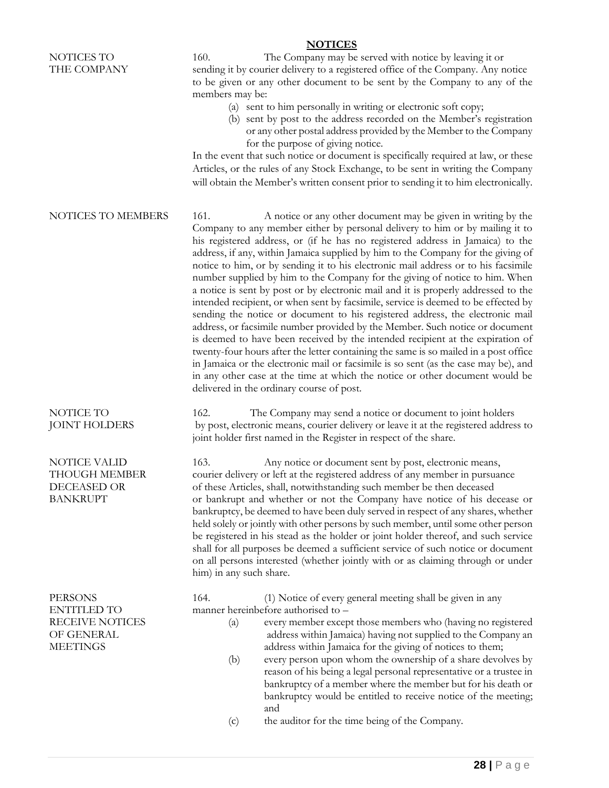# **NOTICES** NOTICES TO 160. The Company may be served with notice by leaving it or THE COMPANY sending it by courier delivery to a registered office of the Company. Any notice to be given or any other document to be sent by the Company to any of the members may be: (a) sent to him personally in writing or electronic soft copy; (b) sent by post to the address recorded on the Member's registration or any other postal address provided by the Member to the Company for the purpose of giving notice. In the event that such notice or document is specifically required at law, or these Articles, or the rules of any Stock Exchange, to be sent in writing the Company will obtain the Member's written consent prior to sending it to him electronically. NOTICES TO MEMBERS 161. A notice or any other document may be given in writing by the Company to any member either by personal delivery to him or by mailing it to his registered address, or (if he has no registered address in Jamaica) to the address, if any, within Jamaica supplied by him to the Company for the giving of notice to him, or by sending it to his electronic mail address or to his facsimile number supplied by him to the Company for the giving of notice to him. When a notice is sent by post or by electronic mail and it is properly addressed to the intended recipient, or when sent by facsimile, service is deemed to be effected by sending the notice or document to his registered address, the electronic mail address, or facsimile number provided by the Member. Such notice or document is deemed to have been received by the intended recipient at the expiration of twenty-four hours after the letter containing the same is so mailed in a post office in Jamaica or the electronic mail or facsimile is so sent (as the case may be), and in any other case at the time at which the notice or other document would be delivered in the ordinary course of post. NOTICE TO 162. The Company may send a notice or document to joint holders JOINT HOLDERS by post, electronic means, courier delivery or leave it at the registered address to joint holder first named in the Register in respect of the share. NOTICE VALID 163. Any notice or document sent by post, electronic means, THOUGH MEMBER courier delivery or left at the registered address of any member in pursuance DECEASED OR of these Articles, shall, notwithstanding such member be then deceased BANKRUPT or bankrupt and whether or not the Company have notice of his decease or bankruptcy, be deemed to have been duly served in respect of any shares, whether held solely or jointly with other persons by such member, until some other person be registered in his stead as the holder or joint holder thereof, and such service shall for all purposes be deemed a sufficient service of such notice or document on all persons interested (whether jointly with or as claiming through or under him) in any such share.

PERSONS 164. (1) Notice of every general meeting shall be given in any ENTITLED TO manner hereinbefore authorised to –

- RECEIVE NOTICES (a) every member except those members who (having no registered OF GENERAL address within Jamaica) having not supplied to the Company an MEETINGS address within Jamaica for the giving of notices to them;
	- (b) every person upon whom the ownership of a share devolves by reason of his being a legal personal representative or a trustee in bankruptcy of a member where the member but for his death or bankruptcy would be entitled to receive notice of the meeting; and
	- (c) the auditor for the time being of the Company.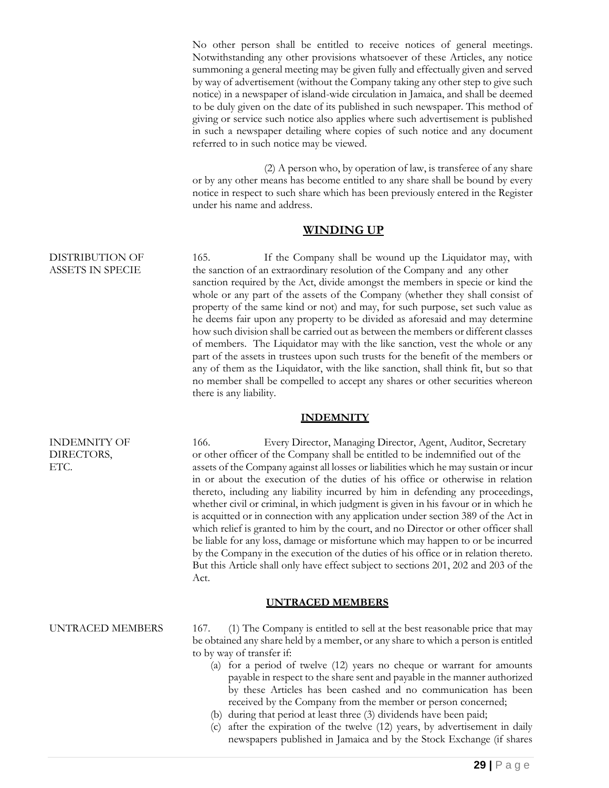No other person shall be entitled to receive notices of general meetings. Notwithstanding any other provisions whatsoever of these Articles, any notice summoning a general meeting may be given fully and effectually given and served by way of advertisement (without the Company taking any other step to give such notice) in a newspaper of island-wide circulation in Jamaica, and shall be deemed to be duly given on the date of its published in such newspaper. This method of giving or service such notice also applies where such advertisement is published in such a newspaper detailing where copies of such notice and any document referred to in such notice may be viewed.

(2) A person who, by operation of law, is transferee of any share or by any other means has become entitled to any share shall be bound by every notice in respect to such share which has been previously entered in the Register under his name and address.

### **WINDING UP**

DISTRIBUTION OF 165. If the Company shall be wound up the Liquidator may, with ASSETS IN SPECIE the sanction of an extraordinary resolution of the Company and any other sanction required by the Act, divide amongst the members in specie or kind the whole or any part of the assets of the Company (whether they shall consist of property of the same kind or not) and may, for such purpose, set such value as he deems fair upon any property to be divided as aforesaid and may determine how such division shall be carried out as between the members or different classes of members. The Liquidator may with the like sanction, vest the whole or any part of the assets in trustees upon such trusts for the benefit of the members or any of them as the Liquidator, with the like sanction, shall think fit, but so that no member shall be compelled to accept any shares or other securities whereon there is any liability.

#### **INDEMNITY**

| <b>INDEMNITY OF</b><br>DIRECTORS,<br>ETC. | Every Director, Managing Director, Agent, Auditor, Secretary<br>166.<br>or other officer of the Company shall be entitled to be indemnified out of the<br>assets of the Company against all losses or liabilities which he may sustain or incur<br>in or about the execution of the duties of his office or otherwise in relation<br>thereto, including any liability incurred by him in defending any proceedings,<br>whether civil or criminal, in which judgment is given in his favour or in which he<br>is acquitted or in connection with any application under section 389 of the Act in<br>which relief is granted to him by the court, and no Director or other officer shall<br>be liable for any loss, damage or misfortune which may happen to or be incurred<br>by the Company in the execution of the duties of his office or in relation thereto.<br>But this Article shall only have effect subject to sections 201, 202 and 203 of the<br>Act. |                                                                                                                                                                                                                                                                                                                                                                                                                                                                                                                                                                                                                                               |  |  |
|-------------------------------------------|-----------------------------------------------------------------------------------------------------------------------------------------------------------------------------------------------------------------------------------------------------------------------------------------------------------------------------------------------------------------------------------------------------------------------------------------------------------------------------------------------------------------------------------------------------------------------------------------------------------------------------------------------------------------------------------------------------------------------------------------------------------------------------------------------------------------------------------------------------------------------------------------------------------------------------------------------------------------|-----------------------------------------------------------------------------------------------------------------------------------------------------------------------------------------------------------------------------------------------------------------------------------------------------------------------------------------------------------------------------------------------------------------------------------------------------------------------------------------------------------------------------------------------------------------------------------------------------------------------------------------------|--|--|
|                                           |                                                                                                                                                                                                                                                                                                                                                                                                                                                                                                                                                                                                                                                                                                                                                                                                                                                                                                                                                                 | <b>UNTRACED MEMBERS</b>                                                                                                                                                                                                                                                                                                                                                                                                                                                                                                                                                                                                                       |  |  |
| <b>UNTRACED MEMBERS</b>                   | 167.                                                                                                                                                                                                                                                                                                                                                                                                                                                                                                                                                                                                                                                                                                                                                                                                                                                                                                                                                            | (1) The Company is entitled to sell at the best reasonable price that may<br>be obtained any share held by a member, or any share to which a person is entitled<br>to by way of transfer if:<br>(a) for a period of twelve (12) years no cheque or warrant for amounts<br>payable in respect to the share sent and payable in the manner authorized<br>by these Articles has been cashed and no communication has been<br>received by the Company from the member or person concerned;<br>(b) during that period at least three (3) dividends have been paid;<br>(c) after the expiration of the twelve (12) years, by advertisement in daily |  |  |

(c) after the expiration of the twelve (12) years, by advertisement in daily newspapers published in Jamaica and by the Stock Exchange (if shares